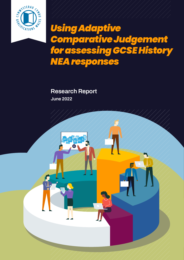

# *Using Adaptive Comparative Judgement for assessing GCSE History NEA responses*

**Research Report June 2022**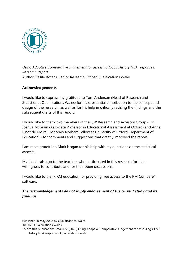

*Using Adaptive Comparative Judgement for assessing GCSE History NEA responses. Research Report.*  Author: Vasile Rotaru, Senior Research Officer Qualifications Wales

#### **Acknowledgements**

I would like to express my gratitude to Tom Anderson (Head of Research and Statistics at Qualifications Wales) for his substantial contribution to the concept and design of the research, as well as for his help in critically revising the findings and the subsequent drafts of this report.

I would like to thank two members of the QW Research and Advisory Group - Dr. Joshua McGrain (Associate Professor in Educational Assessment at Oxford) and Anne Pinot de Moira (Honorary Norham Fellow at University of Oxford, Department of Education) - for comments and suggestions that greatly improved the report.

I am most grateful to Mark Hogan for his help with my questions on the statistical aspects.

My thanks also go to the teachers who participated in this research for their willingness to contribute and for their open discussions.

I would like to thank RM education for providing free access to the RM Compare™ software.

#### *The acknowledgements do not imply endorsement of the current study and its findings.*

Published in May 2022 by Qualifications Wales

<sup>© 2022</sup> Qualifications Wales

To cite this publication: Rotaru, V. (2022) Using Adaptive Comparative Judgement for assessing GCSE History NEA responses. Qualifications Wale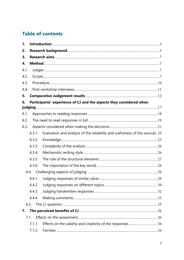# **Table of contents**

| 1.   |        |                                                                             |
|------|--------|-----------------------------------------------------------------------------|
| 2.   |        |                                                                             |
| 3.   |        |                                                                             |
| 4.   |        |                                                                             |
| 4.1. |        |                                                                             |
| 4.2. |        |                                                                             |
| 4.3. |        |                                                                             |
| 4.4. |        |                                                                             |
| 5.   |        |                                                                             |
| 6.   |        | Participants' experience of CJ and the aspects they considered when         |
| 6.1. |        |                                                                             |
| 6.2. |        |                                                                             |
| 6.3. |        |                                                                             |
|      | 6.3.1. | Evaluation and analysis of the reliability and usefulness of the sources.25 |
|      | 6.3.2. |                                                                             |
|      | 6.3.3. |                                                                             |
|      | 6.3.4. |                                                                             |
|      | 6.3.5. |                                                                             |
|      | 6.3.6. |                                                                             |
|      | 6.4.   |                                                                             |
|      | 6.4.1. |                                                                             |
|      | 6.4.2. |                                                                             |
|      | 6.4.3. |                                                                             |
|      | 6.4.4. |                                                                             |
|      | 6.5.   |                                                                             |
| 7.   |        |                                                                             |
|      | 7.1.   |                                                                             |
|      | 7.1.1. | Effects on the validity and creativity of the responses36                   |
|      | 7.1.2. |                                                                             |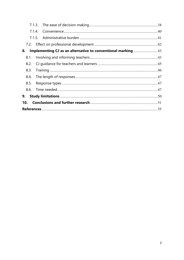|      | 7.1.4. |                                                              |  |  |
|------|--------|--------------------------------------------------------------|--|--|
|      |        |                                                              |  |  |
|      |        |                                                              |  |  |
| 8.   |        | Implementing CJ as an alternative to conventional marking 43 |  |  |
| 8.1. |        |                                                              |  |  |
| 8.2. |        |                                                              |  |  |
| 8.3. |        |                                                              |  |  |
| 8.4. |        |                                                              |  |  |
| 8.5. |        |                                                              |  |  |
| 8.6. |        |                                                              |  |  |
| 9.   |        |                                                              |  |  |
| 10.  |        |                                                              |  |  |
|      |        |                                                              |  |  |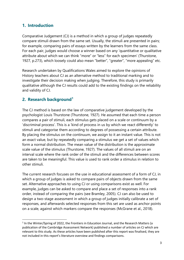# <span id="page-4-0"></span>**1. Introduction**

Comparative Judgement (CJ) is a method in which a group of judges repeatedly compare stimuli drawn from the same set. Usually, the stimuli are presented in pairs; for example, comparing pairs of essays written by the learners from the same class. For each pair, judges would choose a winner based on any 'quantitative or qualitative attribute about which we can think "more" or "less" for each specimen' (Thurstone, 1927, p.273), which loosely could also mean "better", "greater", "more appealing" etc.

Research undertaken by Qualifications Wales aimed to explore the opinions of History teachers about CJ as an alternative method to traditional marking and to investigate their decision making when judging. Therefore, this study is primarily qualitative although the CJ results could add to the existing findings on the reliability and validity of CJ.

# <span id="page-4-1"></span>**2. Research background[1](#page-4-2)**

The CJ method is based on the law of comparative judgement developed by the psychologist Louis Thurstone (Thurstone, 1927). He assumed that each time a person compares a pair of stimuli, each stimulus gets placed on a scale or continuum by a 'discriminal process'. This is a 'kind of process in us by which we react differently' to stimuli and categorise them according to degrees of possessing a certain attribute. By placing the stimulus on the continuum, we assign to it an instant value. This is not an exact value, but by repeatedly comparing a stimulus we get a set of values which form a normal distribution. The mean value of the distribution is the approximate scale value of the stimulus (Thurstone, 1927). The values of all stimuli are on an interval scale where the rank order of the stimuli and the differences between scores are taken to be meaningful. This value is used to rank order a stimulus in relation to other stimuli.

The current research focuses on the use in educational assessment of a form of CJ, in which a group of judges is asked to compare pairs of objects drawn from the same set. Alternative approaches to using CJ or using comparisons exist as well. For example, judges can be asked to compare and place a set of responses into a rank order, instead of comparing the pairs (see Bramley, 2005). CJ can also be used to design a two-stage assessment in which a group of judges initially calibrate a set of responses, and afterwards selected responses from this set are used as anchor points on a scale, against which markers compare the responses (McGrane et al., 2018).

<span id="page-4-2"></span><sup>&</sup>lt;sup>1</sup> In the Winter/Spring of 2022, the Frontiers in Education Journal, and the Research Matters (a publication of the Cambridge Assessment Network) published a number of articles on CJ which are relevant to this study. As these articles have been published after this report was finalised, they are not included in this report's literature overview and findings comparisons.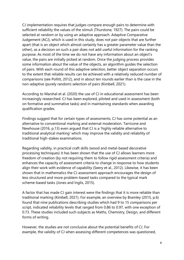CJ implementation requires that judges compare enough pairs to determine with sufficient reliability the values of the stimuli (Thurstone, 1927). The pairs could be selected at random or by using an adaptive approach. Adaptive Comparative Judgement (ACJ), which is used in this study, does not pair objects that are further apart (that is an object which almost certainly has a greater parameter value than the other), as a decision on such a pair does not add useful information for the ranking purpose. As most of the time we do not have any information about an object's value, the pairs are initially picked at random. Once the judging process provides some information about the value of the objects, an algorithm guides the selection of pairs. With each round of this adaptive selection, better object separation occurs to the extent that reliable results can be achieved with a relatively reduced number of comparisons (see Pollitt, 2012), and in about ten rounds earlier than is the case in the non-adaptive (purely random) selection of pairs (Kimbell, 2021).

According to Marshal et al. (2020) the use of CJ in educational assessment has been increasingly researched. CJ has been explored, piloted and used in assessment (both on formative and summative tasks) and in maintaining standards when awarding qualification grades.

Findings suggest that for certain types of assessments, CJ has some potential as an alternative to conventional marking and external moderation. Tarricone and Newhouse (2016, p.13) even argued that CJ is a 'highly reliable alternative to traditional analytical marking' which may improve the validity and reliability of traditional high-stakes examinations.

Regarding validity, in practical craft skills (wood and metal-based decorative processing techniques) it has been shown that the use of CJ allows learners more freedom of creation (by not requiring them to follow rigid assessment criteria) and enhances the capacity of assessment criteria to change in response to how students align their work with evidence of capability (Seery et al., 2012). Likewise, it has been shown that in mathematics the CJ assessment approach encourages the design of less structured and more problem-based tasks compared to the typical mark scheme-based tasks (Jones and Inglis, 2015).

A factor that has made CJ gain interest were the findings that it is more reliable than traditional marking (Kimbell, 2021). For example, an overview by Bramley (2015, p.6) found that nine publications describing studies which had 9 to 15 comparisons per script, indicated reliability levels that ranged from 0.86 to 0.97, with one exception of 0.73. These studies included such subjects as Maths, Chemistry, Design, and different forms of writing.

However, the studies are not conclusive about the potential benefits of CJ. For example, the validity of CJ when assessing different competences was questioned,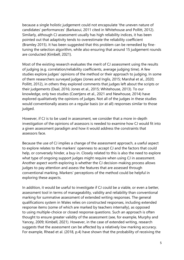because a single holistic judgement could not encapsulate 'the uneven nature of candidates' performances' (Barkaoui, 2011 cited in Whitehouse and Pollitt, 2012). Similarly, although CJ assessment usually has high reliability indices, it has been pointed out that adaptivity tends to overestimate the reliability coefficient (Bramley 2015). It has been suggested that this problem can be remedied by finetuning the selection algorithm, while also ensuring that around 15 judgement rounds are conducted (Kimbell, 2021).

Most of the existing research evaluates the merit of CJ assessment using the results of judging (e.g. correlation/reliability coefficients, average judging time). A few studies explore judges' opinions of the method or their approach to judging. In some of them researchers surveyed judges (Jones and Inglis, 2015; Marshal et al., 2020; Pollitt, 2012), in others they explored comments that judges left about the scripts or their judgements (Daal, 2016; Jones et al., 2015; Whitehouse, 2013). To our knowledge, only two studies (Coertjens et al., 2021 and Newhouse, 2014) have explored qualitatively the opinions of judges. Not all of the judges in these studies would conventionally assess on a regular basis (or at all) responses similar to those judged.

However, if CJ is to be used in assessment, we consider that a more in-depth investigation of the opinions of assessors is needed to examine how CJ would fit into a given assessment paradigm and how it would address the constraints that assessors face.

Because the use of CJ implies a change of the assessment approach, a useful aspect to explore relates to the markers' openness to accept CJ and the factors that could help, or conversely hinder, a buy-in. Closely related to this is also the need to explore what type of ongoing support judges might require when using CJ in assessment. Another aspect worth exploring is whether the CJ decision-making process allows judges to pay attention and assess the features that are assessed through conventional marking. Markers' perceptions of the method could be helpful in exploring these aspects.

In addition, it would be useful to investigate if CJ could be a viable, or even a better, assessment tool in terms of manageability, validity and reliability than conventional marking for summative assessment of extended writing responses. The general qualifications system in Wales relies on constructed responses, including extended response items (some of which are marked by teachers internally), as opposed to using multiple-choice or closed response questions. Such an approach is often thought to ensure greater validity of the assessment (see, for example, Murphy and Yancey, 2009; Kimbell, 2021). However, in the case of extended writing, research suggests that the assessment can be affected by a relatively low marking accuracy. For example, Rhead et al. (2018, p.4) have shown that the probability of receiving the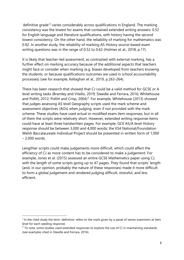$\theta$ 'definitive grade<sup> $2$ </sup> varies considerably across qualifications in England. The marking consistency was the lowest for exams that contained extended writing answers: 0.52 for English language and literature qualifications, with history having the second lowest consistency. On the other hand, the reliability of marking for mathematics was 0.92. In another study, the reliability of marking AS History source-based exam writing questions was in the range of 0.52 to 0.62 (Holmes et al., 2018, p.17).

It is likely that teacher-led assessment, as contrasted with external marking, has a further effect on marking accuracy because of the additional aspects that teachers might face or consider when marking (e.g. biases developed from teachers knowing the students, or because qualifications outcomes are used in school accountability processes) (see for example, Kellaghan et al., 2019, p.263-264).

There has been research that showed that CJ could be a valid method for GCSE or A level writing tasks (Bramley and Vitello, 2019; Steedle and Ferrara, 2016; Whitehouse and Pollitt, 2012; Pollitt and Crisp, 2004)<sup>[3](#page-7-1)</sup>. For example, Whitehouse (2013) showed that judges assessing AS level Geography scripts used the mark scheme and assessment objectives (AOs) when judging, even if not provided with the mark scheme. These studies have used actual or modified exam item responses, but in all of them the scripts were relatively short. However, extended writing response items could have at least three handwritten pages. For example, GCE AS/A level History response should be between 3,000 and 4,000 words; the KS4 National/Foundation Welsh Baccalaureate Individual Project should be presented in written form of 1,000 – 2,000 words.

Lengthier scripts could make judgements more difficult, which could affect the efficiency of CJ as more content has to be considered to make a judgement. For example, Jones et al. (2015) assessed an entire GCSE Mathematics paper using CJ, with the length of some scripts going up to 47 pages. They found that scripts' length (and, in our opinion, probably the nature of these responses) made it more difficult to form a global judgement and rendered judging difficult, stressful, and less efficient.

<span id="page-7-0"></span> $2$  In the cited study the term 'definitive' refers to the mark given by a panel of senior examiners at item level for each seeding response.

<span id="page-7-1"></span> $3$  To note, some studies used extended responses to explore the use of CJ in maintaining standards (see examples cited in Steedle and Ferrara, 2016).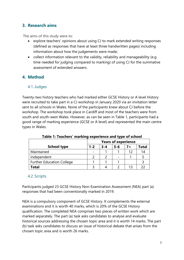# <span id="page-8-0"></span>**3. Research aims**

The aims of this study were to:

- explore teachers' opinions about using CJ to mark extended writing responses (defined as responses that have at least three handwritten pages) including information about how the judgements were made;
- collect information relevant to the validity, reliability and manageability (e.g. time needed for judging compared to marking) of using CJ for the summative assessment of extended answers.

# <span id="page-8-2"></span><span id="page-8-1"></span>**4. Method**

#### 4.1.Judges

Twenty-two history teachers who had marked either GCSE History or A level History were recruited to take part in a CJ workshop in January 2020 via an invitation letter sent to all schools in Wales. None of the participants knew about CJ before the workshop. The workshop took place in Cardiff and most of the teachers were from south and south-west Wales. However, as can be seen in Table 1, participants had a good range of marking experience (GCSE or A level) and represented the main centre types in Wales.

|                                  | <b>Years of experience</b> |         |         |       |       |
|----------------------------------|----------------------------|---------|---------|-------|-------|
| <b>School type</b>               | $1 - 2$                    | $3 - 4$ | $5 - 6$ | $7 +$ | Total |
| Maintained                       |                            |         |         | 1つ    | 14    |
| Independent                      |                            |         |         |       |       |
| <b>Further Education College</b> |                            |         |         |       |       |
| <b>Total</b>                     |                            |         |         |       |       |

**Table 1: Teachers' marking experience and type of school**

#### <span id="page-8-3"></span>4.2. Scripts

Participants judged 23 GCSE History Non-Examination Assessment (NEA) part (a) responses that had been conventionally marked in 2019.

NEA is a compulsory component of GCSE History. It complements the external examinations and it is worth 40 marks, which is 20% of the GCSE History qualification. The completed NEA comprises two pieces of written work which are marked separately. The part (a) task asks candidates to analyse and evaluate historical sources addressing the chosen topic area and it is worth 14 marks. The part (b) task asks candidates to discuss an issue of historical debate that arises from the chosen topic area and is worth 26 marks.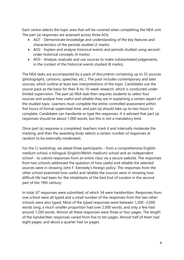Each centre selects the topic area that will be covered when completing the NEA unit. The part (a) responses are assessed across three AOs:

- AO1 Demonstrate knowledge and understanding of the key features and characteristics of the periods studied (2 marks)
- AO2 Explain and analyse historical events and periods studied using secondorder historical concepts (4 marks)
- AO3 Analyse, evaluate and use sources to make substantiated judgements, in the context of the historical events studied (8 marks).

The NEA tasks are accompanied by a pack of documents containing up to 25 sources (photographs, cartoons, speeches, etc.). The pack includes contemporary and later sources, which outline at least two interpretations of the topic. Candidates use the source pack as the basis for their 8-to-10-week research, which is conducted under limited supervision. The part (a) NEA task then requires students to select four sources and analyse how useful and reliable they are in explaining a certain aspect of the studied topic. Learners must complete the entire controlled assessment within five hours of formal supervised time, and part (a) should take up to two hours to complete. Candidates can handwrite or type the responses. It is advised that part (a) responses should be about 1,000 words, but this is not a mandatory limit.

Once part (a) response is completed, teachers mark it and internally moderate the marking, and then the awarding body selects a certain number of responses at random to be externally moderated.

For the CJ workshop, we asked three participants – from a comprehensive Englishmedium school, a bilingual (English/Welsh-medium) school and an independent school – to submit responses from an entire class via a secure website. The responses from two schools addressed the question of how useful and reliable the selected sources were in showing John F. Kennedy's foreign policy. The responses from the other school examined how useful and reliable the sources were in showing how difficult life had been for the inhabitants of the East End of London in the second part of the 19th century.

In total, 67 responses were submitted, of which 34 were handwritten. Responses from one school were all typed and a small number of the responses from the two other schools were also typed. Most of the typed responses were between 1,500 –2,000 words long; a much smaller proportion had over 2,000 words; and only a few had around 1,200 words. Almost all these responses were three or four pages. The length of the handwritten responses varied from five to ten pages. Almost half of them had eight pages, and about a quarter had six pages.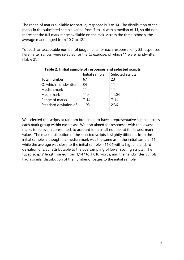The range of marks available for part (a) response is 0 to 14. The distribution of the marks in the submitted sample varied from 7 to 14 with a median of 11, so did not represent the full mark range available on the task. Across the three schools, the average mark ranged from 10.7 to 12.1.

To reach an acceptable number of judgements for each response, only 23 responses, hereinafter scripts, were selected for the CJ exercise, of which 11 were handwritten (Table 2).

|                       | Initial sample | Selected scripts |
|-----------------------|----------------|------------------|
| Total number          | 67             | 23               |
| Of which, handwritten | 34             | 11               |
| Median mark           | 11             | 11               |
| Mean mark             | 11.4           | 11.04            |
| Range of marks        | $7 - 14$       | $7 - 14$         |
| Standard deviation of | 1.93           | 2.36             |
| marks                 |                |                  |

#### **Table 2: Initial sample of responses and selected scripts**

We selected the scripts at random but aimed to have a representative sample across each mark group within each class. We also aimed for responses with the lowest marks to be over-represented, to account for a small number at the lowest mark values. The mark distribution of the selected scripts is slightly different from the initial sample, although the median mark was the same as in the initial sample (11), while the average was close to the initial sample – 11.04 with a higher standard deviation of 2.36 (attributable to the oversampling of lower scoring scripts). The typed scripts' length varied from 1,147 to 1,810 words, and the handwritten scripts had a similar distribution of the number of pages to the initial sample.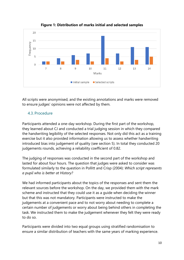

**Figure 1: Distribution of marks initial and selected samples**

All scripts were anonymised, and the existing annotations and marks were removed to ensure judges' opinions were not affected by them.

# <span id="page-11-0"></span>4.3. Procedure

Participants attended a one-day workshop. During the first part of the workshop, they learned about CJ and conducted a trial judging session in which they compared the handwriting legibility of the selected responses. Not only did this act as a training exercise but it also provided information allowing us to assess whether handwriting introduced bias into judgement of quality (see section 5). In total they conducted 20 judgements rounds, achieving a reliability coefficient of 0.82.

The judging of responses was conducted in the second part of the workshop and lasted for about four hours. The question that judges were asked to consider was formulated similarly to the question in Pollitt and Crisp (2004): *Which script represents a pupil who is better at History?* 

We had informed participants about the topics of the responses and sent them the relevant sources before the workshop. On the day, we provided them with the mark scheme and instructed that they could use it as a guide when deciding the winner but that this was not mandatory. Participants were instructed to make the judgements at a convenient pace and to not worry about needing to complete a certain number of judgements or worry about being behind others in completing the task. We instructed them to make the judgement whenever they felt they were ready to do so.

Participants were divided into two equal groups using stratified randomisation to ensure a similar distribution of teachers with the same years of marking experience.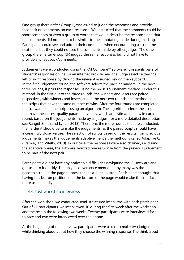One group (hereinafter Group F) was asked to judge the responses and provide feedback or comments on each response. We instructed that the comments could be short sentences or even a group of words that would describe the response and that the comments did not need to be similar to the annotating made during marking. Participants could see and add to their comments when encountering a script, the next time, but they could not see the comments made by other judges. The other group (hereinafter Group NF) judged the same responses but did not have to provide any feedback/comments.

Judgements were conducted using the RM Compare™ software. It presents pairs of students' responses online via an internet browser and the judge selects either the left or right response by clicking the relevant assigned key on the keyboard. In the first judgement round, the software selects the pairs at random. In the next three rounds, it pairs the responses using the Swiss Tournament method. Under this method, in the first out of the three rounds, the winners and losers are paired respectively with winners and losers, and in the next two rounds, the method pairs the scripts that have the same number of wins. After the four rounds are completed, the software pairs the scripts using an algorithm. The algorithm selects the scripts that have the closest quality parameter values, which are estimated anew in each round, based on the judgements made by all judges (for a more detailed description see Rangel-Smith and Lynch, 2018). Therefore, the more rounds that are conducted, the harder it should be to make the judgements, as the paired scripts should have increasingly closer values. The selection of scripts based on the results from previous judgements makes the judgements adaptive, hence the method is called Adaptive CJ (Bramley and Vitello, 2019). In our case, the responses were also chained, i.e. during the adaptive phase, the software selected one response from the previous judgement to be part of the next pair.

Participants did not have any noticeable difficulties navigating the CJ software and got used to it quickly. The only inconvenience mentioned by many was the need to scroll up the page to press the 'next page' button. Participants thought that having this button positioned at the bottom of the page would make the interface more user-friendly.

#### <span id="page-12-0"></span>4.4. Post-workshop interviews

After the workshop, we conducted semi-structured interviews with each participant. Out of 22 participants, we interviewed 10 during the first week after the workshop, and the rest in the following two weeks. Twenty participants were interviewed faceto-face and two were interviewed over the phone.

At the beginning of the interview, participants were asked to make two judgements while thinking aloud about how they choose the winning response. The think aloud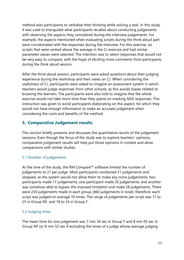method asks participants to verbalise their thinking while solving a task. In this study it was used to triangulate what participants recalled about conducting judgements with observing the aspects they considered during the interview judgements. For example, the aspects mentioned when evaluating scripts during the think aloud part were corroborated with the responses during the interview. For this exercise, six scripts that were ranked above the average in the CJ exercise and had similar parameter values were selected. The intention was to select responses that would not be very easy to compare, with the hope of eliciting more comments from participants during the think aloud session.

After the think aloud session, participants were asked questions about their judging experience during the workshop and their views on CJ. When considering the usefulness of CJ, participants were asked to imagine an assessment system in which teachers would judge responses from other schools, as this avoids biases related to knowing the learners. The participants were also told to imagine that the whole exercise would not take more time than they spend on marking NEA responses. This instruction was given to avoid participants elaborating on this aspect, for which they would not have enough information to make an accurate judgement when considering the costs and benefits of the method.

# <span id="page-13-0"></span>**5. Comparative Judgement results**

This section briefly presents and discusses the quantitative results of the judgement sessions. Even though the focus of the study was to explore teachers' opinions, comparative judgement results will help put those opinions in context and allow comparisons with similar studies.

#### 5.1 Number of judgements

At the time of the study, the RM Compare™ software limited the number of judgements to 21 per judge. Most participants conducted 21 judgements and stopped, as the system would not allow them to make any more judgements; two participants made 17 judgements; one participant made 20 judgements; and another was somehow able to bypass the imposed limitation and make 28 judgements. There were 230 judgements made in each group (460 judgements in total); therefore, each script was judged on average 10 times. The range of judgements per script was 17 to 25 in Group NF, and 18 to 24 in Group F.

#### 5.2 Judging times

The mean time for one judgement was 7 min 34 sec in Group F and 8 min 05 sec in Group NF (or 8 min 52 sec if excluding the times of a judge whose average judging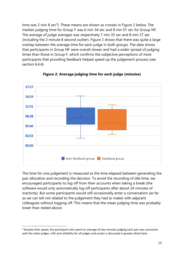time was 2 min 8 sec<sup>[4](#page-14-0)</sup>). These means are shown as crosses in Figure 2 below. The median judging time for Group F was 6 min 34 sec and 8 min 01 sec for Group NF. The average of judge averages was respectively 7 min 35 sec and 8 min 27 sec (including the 2 minute 8 second outlier). Figure 2 shows that there was quite a large overlap between the average time for each judge in both groups. The data shows that participants in Group NF were overall slower and had a wider spread of judging times than those in Group F, which confirms the subjective perceptions of most participants that providing feedback helped speed up the judgement process (see section 6.4.4).



**Figure 2: Average judging time for each judge (minutes)**

The time for one judgement is measured as the time elapsed between generating the pair allocation and recording the decision. To avoid the recording of idle time, we encouraged participants to log off from their accounts when taking a break (the software would only automatically log off participants after about 24 minutes of inactivity). But some participants would still occasionally enter a conversation (as far as we can tell not related to the judgement they had to make) with adjacent colleagues without logging off. This means that the mean judging time was probably lower than stated above.

<span id="page-14-0"></span><sup>4</sup> Despite their speed, the participant who spent an average of two minutes judging each pair was consistent with the other judges. Infit and reliability for all judges and scripts is discussed in greater detail later.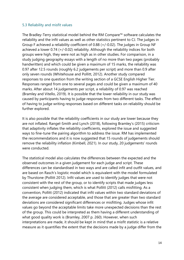#### 5.3 Reliability and misfit values

The Bradley-Terry statistical model behind the RM Compare™ software calculates the reliability and the infit values as well as other statistics pertinent to CJ. The judges in Group F achieved a reliability coefficient of 0.88 (+/-0.02). The judges in Group NF achieved a lower 0.74 (+/-0.02) reliability. Although the reliability indices for both groups were high, they were not as high as in other studies. For comparison, in a study judging geography essays with a length of no more than two pages (probably handwritten) and which could be given a maximum of 15 marks, the reliability was 0.97 after 12.5 rounds (roughly 6.2 judgements per script) and more than 0.9 after only seven rounds (Whitehouse and Pollitt, 2012). Another study compared responses to one question from the writing section of a GCSE English Higher Tier. Responses ranged from one to several pages and could be given a maximum of 40 marks. After about 14 judgements per script, a reliability of 0.97 was reached (Bramley and Vitello, 2019). It is possible that the lower reliability in our study was caused by participants having to judge responses from two different tasks. The effect of having to judge writing responses based on different tasks on reliability should be further explored.

It is also possible that the reliability coefficients in our study are lower because they are not inflated. Rangel-Smith and Lynch (2018), following Bramley's (2015) criticism that adaptivity inflates the reliability coefficients, explored the issue and suggested ways to fine-tune the pairing algorithm to address the issue. RM has implemented the recommendations and it is now suggested that 15 rounds of judgements should remove the reliability inflation (Kimbell, 2021). In our study, 20 judgements' rounds were conducted.

The statistical model also calculates the differences between the expected and the observed outcomes in a given judgement for each judge and script. These differences can be standardised in two ways and are called infit and outfit values, and are based on Rasch's logistic model which is equivalent with the model formulated by Thurstone (Pollitt 2012). Infit values are used to identify judges that were not consistent with the rest of the group, or to identify scripts that made judges less consistent when judging them, which is what Pollitt (2012) calls misfitting. As a convention, Pollitt (2012) indicated that infit values within two standard deviations of the average are considered acceptable, and those that are greater than two standard deviations are considered significant differences or misfitting. Judges whose infit values go beyond the acceptable limits take more unexpected decisions than the rest of the group. This could be interpreted as them having a different understanding of what good quality work is (Bramley, 2007 p. 260). However, when such interpretations are made, it should be kept in mind that a misfit statistic is a relative measure as it quantifies the extent that the decisions made by a judge differ from the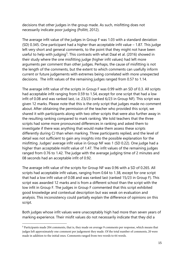decisions that other judges in the group made. As such, misfitting does not necessarily indicate poor judging (Pollitt, 2012).

The average infit value of the judges in Group F was 1.03 with a standard deviation (SD) 0.345. One participant had a higher than acceptable infit value – 1.87. This judge left very short and general comments, to the point that they might not have been useful to help with judging<sup>[5](#page-16-0)</sup>. This contrasts with what Daal et al. (2016) showed in their study where the one misfitting judge (higher infit values) had left more arguments per comment than other judges. Perhaps, the cause of misfitting is not the length of the comments, but the extent to which comments can usefully inform current or future judgements with extremes being correlated with more unexpected decisions. The infit values of the remaining judges ranged from 0.57 to 1.14.

The average infit value of the scripts in Group F was 0.99 with an SD of 0.3. All scripts had acceptable infit ranging from 0.59 to 1.54, except for one script that had a low infit of 0.08 and was ranked last, i.e. 23/23 (ranked 6/23 in Group NF). This script was given 12 marks. Please note that this is the only script that judges made no comment about. After obtaining the permission of the teacher who provided this script, we shared it with participants along with two other scripts that were also further away in the resulting ranking compared to mark ranking. We told teachers that the three scripts had some more pronounced differences in ranking and asked them to investigate if there was anything that would make them assess these scripts differently during CJ than when marking. Three participants replied, and the level of detail was not sufficient to gain any insights into the possible explanation for the misfitting. Judges' average infit value in Group NF was 1 (SD 0.22). One judge had a higher than acceptable misfit value of 1.47. The infit values of the remaining judges ranged from 0.76 to 1.42. The judge with the average judging time of 2 minutes and 08 seconds had an acceptable infit of 0.92.

The average infit value of the scripts for Group NF was 0.96 with a SD of 0.265. All scripts had acceptable infit values, ranging from 0.64 to 1.38, except for one script that had a low infit value of 0.08 and was ranked last (ranked 15/23 in Group F). This script was awarded 12 marks and is from a different school than the script with the low infit in Group F. The judges in Group F commented that this script exhibited good knowledge and contextual description but was weak on evaluation and analysis. This inconsistency could partially explain the difference of opinions on this script.

Both judges whose infit values were unacceptably high had more than seven years of marking experience. Their misfit values do not necessarily indicate that they did a

<span id="page-16-0"></span><sup>5</sup> Participants made 204 comments, that is, they made on average 9 comments per response, which means that judges left approximately one comment per judgement they made. Of the total number of comments, 20 were made in addition to the initial ones. Comments ranged from two words to 64 words.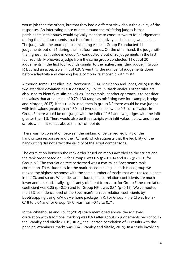worse job than the others, but that they had a different view about the quality of the responses. An interesting piece of data around the misfitting judges is that participants in this study would typically manage to conduct two to four judgements during the first four rounds, that is before the adaptivity and chaining would start. The judge with the unacceptable misfitting value in Group F conducted 11 judgements out of 21 during the first four rounds. On the other hand, the judge with the highest misfit value in Group NF conducted 5 out of 20 judgements in the first four rounds. Moreover, a judge from the same group conducted 11 out of 20 judgements in the first four rounds (similar to the highest misfitting judge in Group F) but had an acceptable infit of 0.9. Given this, the number of judgements done before adaptivity and chaining has a complex relationship with misfit.

Although some CJ studies (e.g. Newhouse, 2014; McMahon and Jones, 2015) use the two-standard deviation rule suggested by Pollitt, in Rasch analysis other rules are also used to identify misfitting values. For example, another approach is to consider the values that are outside of 0.70-1.30 range as misfitting (see for example, Hodge and Morgan, 2017). If this rule is used, then in group NF there would be two judges with infit values greater than 1.30 and two scripts below the 0.7 cut-off value. In Group F there would be one judge with the infit of 0.64 and two judges with the infit greater than 1.3. There would also be three scripts with infit values below, and three scripts with infit values above the cut-off points.

There was no correlation between the ranking of perceived legibility of the handwritten responses and their CJ rank, which suggests that the legibility of the handwriting did not affect the validity of the script comparisons.

The correlation between the rank order based on marks awarded to the scripts and the rank order based on CJ for Group F was 0.5 (p=0.014) and 0.73 (p<0.01) for Group NF. The correlation test performed was a two-tailed Spearman's rank correlation. To exclude ties for the mark-based ranking, in each mark group we ranked the highest response with the same number of marks that was ranked highest in the CJ, and so on. When ties are included, the correlation coefficients are much lower and not statistically significantly different from zero: for Group F the correlation coefficient was 0.25 (p=0.24) and for Group NF it was 0.31 (p=0.15). We computed the 95% confidence level of the Spearman's rank correlation coefficients by bootstrapping using RVAideMemoire package in R. For Group F the CI was from - 0.18 to 0.64 and for Group NF CI was from -0.18 to 0.71.

In the Whitehouse and Pollitt (2012) study mentioned above, the achieved correlation with traditional marking was 0.63 after about six judgements per script. In the Bramley and Vitello (2019) study, the Pearson correlation of CJ results with the principal examiners' marks was 0.74 (Bramley and Vitello, 2019). In a study involving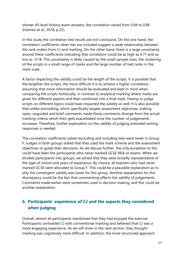shorter AS level History exam answers, the correlation varied from 0.84 to 0.86 (Holmes et al., 2018, p.22).

In this study the correlation test results are not conclusive. On the one hand, the correlation coefficients when ties are included suggest a weak relationship between the rank orders from CJ and marking. On the other hand, there is a large uncertainty around these coefficients indicating that correlation could be as high as 0.71 and as low as -0.18. This uncertainty is likely caused by the small sample sizes, the clustering of the scripts in a small range of marks and the large number of tied ranks in the mark scale.

A factor impacting the validity could be the length of the scripts. It is possible that the lengthier the scripts, the more difficult it is to achieve a higher correlation, assuming that more information should be evaluated and kept in mind when comparing the scripts holistically, in contrast to analytical marking where marks are given for different aspects and then combined into a final mark. Having to judge scripts on different topics could have impacted the validity as well. It is also possible that unlike annotating, which specifically targets assessment objectives, making open, unguided and brief comments made those comments diverge from the actual marking criteria which then gets exacerbated once the number of judgements increases. Therefore, further exploration on the validity of judging extended writing responses is needed.

The correlation coefficients (when excluding and including ties) were lower in Group F. Judges in both groups stated that they used the mark scheme and the assessment objectives to guide their decisions. As we discuss further, the only exception to this could have been the participants who never marked GCSE NEA or exams. When we divided participants into groups, we aimed that they were broadly representative of the type of school and years of experience. By chance, all teachers who had never marked GCSE were allocated to Group F. This could be a plausible explanation as to why the convergent validity was lower for this group. Another explanation for this discrepancy could be the fact that commenting affects the validity of judgements. Comments made earlier were sometimes used in decision making, and this could be another explanation.

# <span id="page-18-0"></span>**6. Participants' experience of CJ and the aspects they considered when judging**

Overall, almost all participants mentioned that they had enjoyed the exercise. Participants contrasted CJ with conventional marking and believed that CJ was a more engaging experience. As we will show in the next section, they thought marking was cognitively more difficult. In addition, the more structured approach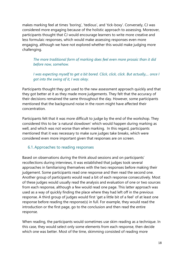makes marking feel at times 'boring', 'tedious', and 'tick-boxy'. Conversely, CJ was considered more engaging because of the holistic approach to assessing. Moreover, participants thought that CJ would encourage learners to write more creative and less formulaic responses, which would make assessing responses even more engaging, although we have not explored whether this would make judging more challenging.

*The more traditional form of marking does feel even more prosaic than it did before now, somehow.* 

*I was expecting myself to get a bit bored. Click, click, click. But actually,... once I got into the swing of it, I was okay.* 

Participants thought they got used to the new assessment approach quickly and that they got better at it as they made more judgements. They felt that the accuracy of their decisions remained the same throughout the day. However, some participants mentioned that the background noise in the room might have affected their concentration.

Participants felt that it was more difficult to judge by the end of the workshop. They considered this to be 'a natural slowdown' which would happen during marking as well, and which was not worse than when marking. In this regard, participants mentioned that it was necessary to make sure judges take breaks, which were considered even more important given that responses are on screen.

#### <span id="page-19-0"></span>6.1.Approaches to reading responses

Based on observations during the think aloud sessions and on participants' recollections during interviews, it was established that judges took several approaches in familiarising themselves with the two responses before making their judgement. Some participants read one response and then read the second one. Another group of participants would read a bit of each response consecutively. Most of these judges would usually read the analysis and evaluation of one or two sources from each response, although a few would read one page. This latter approach was used as a way of quickly finding the place where they had left off in the previous response. A third group of judges would first 'get a little bit of a feel' of at least one response before reading the response(s) in full. For example, they would read the introduction or the first page, go to the conclusion and then read the entire response.

When reading, the participants would sometimes use skim reading as a technique. In this case, they would select only some elements from each response, then decide which one was better. Most of the time, skimming consisted of reading more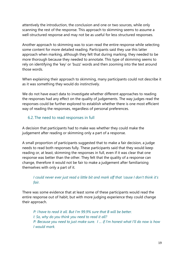attentively the introduction, the conclusion and one or two sources, while only scanning the rest of the response. This approach to skimming seems to assume a well-structured response and may not be as useful for less structured responses.

Another approach to skimming was to scan-read the entire response while selecting some content for more detailed reading. Participants said they use this latter approach when marking, although they felt that during marking, they needed to be more thorough because they needed to annotate. This type of skimming seems to rely on identifying the 'key' or 'buzz' words and then zooming into the text around those words.

When explaining their approach to skimming, many participants could not describe it as it was something they would do instinctively.

We do not have exact data to investigate whether different approaches to reading the responses had any effect on the quality of judgements. The way judges read the responses could be further explored to establish whether there is one most efficient way of reading the responses, regardless of personal preferences.

#### <span id="page-20-0"></span>6.2. The need to read responses in full

A decision that participants had to make was whether they could make the judgement after reading or skimming only a part of a response.

A small proportion of participants suggested that to make a fair decision, a judge needs to read both responses fully. These participants said that they would keep reading or, at least, skimming the responses in full, even if it was clear that one response was better than the other. They felt that the quality of a response can change, therefore it would not be fair to make a judgement after familiarising themselves with only a part of it.

#### *I could never ever just read a little bit and mark off that 'cause I don't think it's fair.*

There was some evidence that at least some of these participants would read the entire response out of habit, but with more judging experience they could change their approach.

*P: I have to read it all. But I'm 99.9% sure that B will be better.   I: So, why do you think you need to read it all? P: Because you need to just make sure. I … if I'm honest what I'll do now is how I would mark.*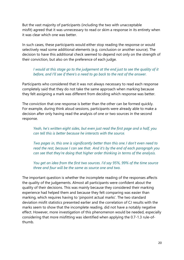But the vast majority of participants (including the two with unacceptable misfit) agreed that it was unnecessary to read or skim a response in its entirety when it was clear which one was better.

In such cases, these participants would either stop reading the response or would selectively read some additional elements (e.g. conclusion or another source). The decision to have this additional check seemed to depend not only on the strength of their conviction, but also on the preference of each judge.

#### *I would at this stage go to the judgement at the end just to see the quality of it before, and I'll see if there's a need to go back to the rest of the answer.*

Participants who considered that it was not always necessary to read each response completely said that they do not take the same approach when marking because they felt assigning a mark was different from deciding which response was better.

The conviction that one response is better than the other can be formed quickly. For example, during think aloud sessions, participants were already able to make a decision after only having read the analysis of one or two sources in the second response.

*Yeah, he's written eight sides, but even just read the first page and a half, you can tell this is better because he interacts with the source.*

*Two pages in, this one is significantly better than this one. I don't even need to read the rest, because I can see that.  And it's by the end of each paragraph you can see that they're doing that higher order thinking in terms of the analysis.*

*You get an idea from the first two sources. I'd say 95%, 99% of the time source three and four will be the same as source one and two.* 

The important question is whether the incomplete reading of the responses affects the quality of the judgements. Almost all participants were confident about the quality of their decisions. This was mainly because they considered their marking experience had helped them and because they felt comparing was easier than marking, which requires having to 'pinpoint actual marks'. The two standard deviation misfit statistics presented earlier and the correlation of CJ results with the marks seem to show that the incomplete reading, did not have a notably negative effect. However, more investigation of this phenomenon would be needed, especially considering that more misfitting was identified when applying the 0.7-1.3 rule-ofthumb.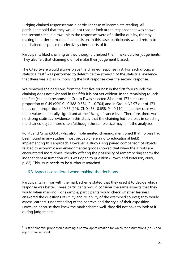Judging chained responses was a particular case of incomplete reading. All participants said that they would not read or look at the response that was shown the second time in a row unless the responses were of a similar quality, thereby making it harder to make a final decision. In this case, participants would return to the chained response to selectively check parts of it.

Participants liked chaining as they thought it helped them make quicker judgements. They also felt that chaining did not make their judgement biased.

The CJ software would always place the chained response first. For each group, a statistical test<sup>[6](#page-22-1)</sup> was performed to determine the strength of the statistical evidence that there was a bias in choosing the first response over the second response.

We removed the decisions from the first five rounds: in the first four rounds the chaining does not exist and in the fifth it is not yet evident. In the remaining rounds the first (chained) response in Group F was selected 84 out of 173 times or in proportion of 0.49 (99% CI: 0.388-0.584; P – 0.704) and in Group NF 97 out of 173 times or in proportion of 0.56 (99% CI: 0.463- 0.658; P – 0.110). In neither case was the p-value statistically significant at the 1% significance level. Therefore, there was no strong statistical evidence in this study that the chaining led to a bias in selecting the chained object more often (although the sample size may limit the analysis).

Pollitt and Crisp (2004), who also implemented chaining, mentioned that no bias had been found in any studies (most probably referring to educational field) implementing this approach. However, a study using paired comparison of objects related to economic and environmental goods showed that when the scripts are encountered more times (thereby offering the possibility of remembering them) the independent assumption of CJ was open to question (Brown and Peterson, 2009, p. 82). This issue needs to be further researched.

# <span id="page-22-0"></span>6.3.Aspects considered when making the decisions

Participants familiar with the mark scheme stated that they used it to decide which response was better. These participants would consider the same aspects that they would when marking. For example, participants would check whether learners answered the questions of utility and reliability of the examined sources; they would assess learners' understanding of the context; and the style of their exposition. However, because they knew the mark scheme well, they did not have to look at it during judgements.

<span id="page-22-1"></span> $6$  Test of binomial proportion assuming a normal approximation for which the assumptions (np>5 and nq>5) were satisfied.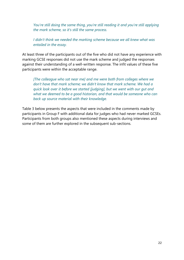*You're still doing the same thing, you're still reading it and you're still applying the mark scheme, so it's still the same process.*

*I didn't think we needed the marking scheme because we all knew what was entailed in the essay.* 

At least three of the participants out of the five who did not have any experience with marking GCSE responses did not use the mark scheme and judged the responses against their understanding of a well-written response. The infit values of these five participants were within the acceptable range.

*[The colleague who sat near me] and me were both from colleges where we don't have that mark scheme; we didn't know that mark scheme. We had a quick look over it before we started [judging], but we went with our gut and what we deemed to be a good historian, and that would be someone who can back up source material with their knowledge.*

Table 3 below presents the aspects that were included in the comments made by participants in Group F with additional data for judges who had never marked GCSEs. Participants from both groups also mentioned these aspects during interviews and some of them are further explored in the subsequent sub-sections.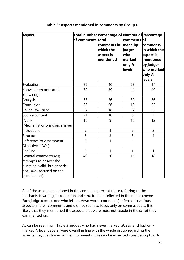| <b>Aspect</b>                                                                                                                 | of comments total | Total number Percentage of Number of Percentage<br>comments in<br>which the<br>aspect is<br>mentioned | comments of<br>made by<br>judges<br>who<br>marked<br>only A<br>levels | comments<br>in which the<br>aspect is<br>mentioned<br>by judges<br>$\bm{\mathsf{w}}$ ho marked $\bm{\mathsf{I}}$<br>only A<br>levels |
|-------------------------------------------------------------------------------------------------------------------------------|-------------------|-------------------------------------------------------------------------------------------------------|-----------------------------------------------------------------------|--------------------------------------------------------------------------------------------------------------------------------------|
| Evaluation                                                                                                                    | 82                | 40                                                                                                    | 28                                                                    | 34                                                                                                                                   |
| Knowledge/contextual<br>knowledge                                                                                             | 79                | 39                                                                                                    | 41                                                                    | 49                                                                                                                                   |
| Analysis                                                                                                                      | 53                | 26                                                                                                    | 30                                                                    | 36                                                                                                                                   |
| Conclusion                                                                                                                    | 52                | 26                                                                                                    | 18                                                                    | 22                                                                                                                                   |
| Reliability/utility                                                                                                           | 37                | 18                                                                                                    | 27                                                                    | 33                                                                                                                                   |
| Source content                                                                                                                | 21                | 10                                                                                                    | 6                                                                     | $\overline{7}$                                                                                                                       |
| (Non-<br>Mechanistic/formulaic answer                                                                                         | 18                | 9                                                                                                     | 10                                                                    | 12                                                                                                                                   |
| Introduction                                                                                                                  | 9                 | 4                                                                                                     | $\overline{2}$                                                        | $\overline{2}$                                                                                                                       |
| Structure                                                                                                                     | 5                 | 3                                                                                                     | 3                                                                     | $\overline{4}$                                                                                                                       |
| Reference to Assessment<br>Objectives (AOs)                                                                                   | $\overline{2}$    | 1                                                                                                     |                                                                       |                                                                                                                                      |
| Spelling                                                                                                                      | $\overline{2}$    | 1                                                                                                     | $\mathbf{1}$                                                          | $\mathbf{1}$                                                                                                                         |
| General comments (e.g.<br>attempts to answer the<br>question; valid, but generic;<br>not 100% focused on the<br>question set) | 40                | 20                                                                                                    | 15                                                                    | 18                                                                                                                                   |

#### **Table 3: Aspects mentioned in comments by Group F**

All of the aspects mentioned in the comments, except those referring to the mechanistic writing, introduction and structure are reflected in the mark scheme. Each judge (except one who left one/two words comments) referred to various aspects in their comments and did not seem to focus only on some aspects. It is likely that they mentioned the aspects that were most noticeable in the script they commented on.

As can be seen from Table 3, judges who had never marked GCSEs, and had only marked A level papers, were overall in line with the whole group regarding the aspects they mentioned in their comments. This can be expected considering that A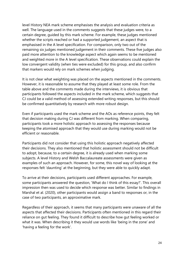level History NEA mark scheme emphasises the analysis and evaluation criteria as well. The language used in the comments suggests that these judges were, to a certain degree, guided by this mark scheme. For example, these judges mentioned whether the scripts reached or had a supported judgement, an aspect that is emphasised in the A level specification. For comparison, only two out of the remaining six judges mentioned judgement in their comments. These five judges also paid more attention to the knowledge aspect which again seems to be mentioned and weighted more in the A level specification. These observations could explain the low convergent validity (when ties were excluded) for this group, and also confirm that markers would rely on mark schemes when judging.

It is not clear what weighting was placed on the aspects mentioned in the comments. However, it is reasonable to assume that they played at least some role. From the table above and the comments made during the interviews, it is obvious that participants followed the aspects included in the mark scheme, which suggests that CJ could be a valid method of assessing extended writing responses, but this should be confirmed quantitatively by research with more robust design.

Even if participants used the mark scheme and the AOs as reference points, they felt that decision making during CJ was different from marking. When comparing, participants took a more holistic approach to assessing the responses because keeping the atomised approach that they would use during marking would not be efficient or reasonable.

Participants did not consider that using this holistic approach negatively affected their decisions. They also mentioned that holistic assessment should not be difficult to adopt, because, to a certain degree, it is already used when marking some subjects. A level History and Welsh Baccalaureate assessments were given as examples of such an approach. However, for some, this novel way of looking at the responses felt 'daunting' at the beginning, but they were able to quickly adapt.

To arrive at their decisions, participants used different approaches. For example, some participants answered the question, 'What do I think of this essay?'. This overall impression then was used to decide which response was better. Similar to findings in Marshal et al. (2020), other participants would assign a band to responses or, in the case of two participants, an approximative mark.

Regardless of their approach, it seems that many participants were unaware of all the aspects that affected their decisions. Participants often mentioned in this regard their reliance on gut feeling. They found it difficult to describe how gut feeling worked or what it was. When describing it they would use words like 'being in the zone' and 'having a feeling for the work'.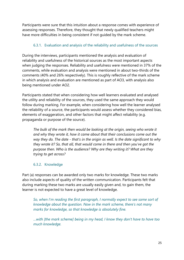Participants were sure that this intuition about a response comes with experience of assessing responses. Therefore, they thought that newly qualified teachers might have more difficulties in being consistent if not guided by the mark scheme.

#### 6.3.1. Evaluation and analysis of the reliability and usefulness of the sources

<span id="page-26-0"></span>During the interviews, participants mentioned the analysis and evaluation of reliability and usefulness of the historical sources as the most important aspects when judging the responses. Reliability and usefulness were mentioned in 37% of the comments, while evaluation and analysis were mentioned in about two-thirds of the comments (40% and 26% respectively). This is roughly reflective of the mark scheme in which analysis and evaluation are mentioned as part of AO3, with analysis also being mentioned under AO2.

Participants stated that when considering how well learners evaluated and analysed the utility and reliability of the sources, they used the same approach they would follow during marking. For example, when considering how well the learner analysed the reliability of a source, the participants would assess whether they considered bias, elements of exaggeration, and other factors that might affect reliability (e.g. propaganda or purpose of the source).

*The bulk of the mark then would be looking at the origin, seeing who wrote it and why they wrote it, how it came about that their conclusions come out the way they do. The date - that's in the origin as well. Is the date significant to why they wrote it? So, that all, that would come in there and then you've got the purpose then. Who is the audience? Why are they writing it? What are they trying to get across?*

#### 6.3.2. Knowledge

<span id="page-26-1"></span>Part (a) responses can be awarded only two marks for knowledge. These two marks also include aspects of quality of the written communication. Participants felt that during marking these two marks are usually easily given and, to gain them, the learner is not expected to have a great level of knowledge.

*So, when I'm reading the first paragraph, I normally expect to see some sort of knowledge about the question. Now in the mark scheme, there's not many marks for knowledge, so that knowledge is absolutely fine.* 

*…with [the mark scheme] being in my head, I know they don't have to have too much knowledge.*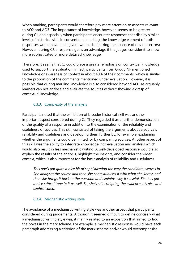When marking, participants would therefore pay more attention to aspects relevant to AO2 and AO3. The importance of knowledge, however, seems to be greater during CJ, and especially when participants encounter responses that display similar levels of historical skill. In conventional marking, the knowledge element of both responses would have been given two marks (barring the absence of obvious errors). However, during CJ, a response gains an advantage if the judges consider it to show more sophisticated or more detailed knowledge.

Therefore, it seems that CJ could place a greater emphasis on contextual knowledge used to support the evaluation. In fact, participants from Group NF mentioned knowledge or awareness of context in about 40% of their comments, which is similar to the proportion of the comments mentioned under evaluation. However, it is possible that during marking knowledge is also considered beyond AO1 as arguably learners can not analyse and evaluate the sources without showing a grasp of contextual knowledge.

#### 6.3.3. Complexity of the analysis

<span id="page-27-0"></span>Participants noted that the exhibition of broader historical skill was another important aspect considered during CJ. They regarded it as a further demonstration of the quality of a response in addition to the examination of the reliability and usefulness of sources. This skill consisted of taking the arguments about a source's reliability and usefulness and developing them further by, for example, explaining whether the arguments could be limited, or by comparing sources. Another aspect of this skill was the ability to integrate knowledge into evaluation and analysis which would also result in less mechanistic writing. A well-developed response would also explain the results of the analysis, highlight the insights, and consider the wider context, which is also important for the basic analysis of reliability and usefulness.

*This one's got quite a nice bit of sophistication the way the candidate weaves in. She analyses the source and then she contextualises it with what she knows and then she brings it back to the question and explains why it's useful. She has got a nice critical tone in it as well. So, she's still critiquing the evidence. It's nice and sophisticated.*

#### 6.3.4. Mechanistic writing style

<span id="page-27-1"></span>The avoidance of a mechanistic writing style was another aspect that participants considered during judgements. Although it seemed difficult to define concisely what a mechanistic writing style was, it mainly related to an exposition that aimed to tick the boxes in the mark scheme. For example, a mechanistic response would have each paragraph addressing a criterion of the mark scheme and/or would overemphasise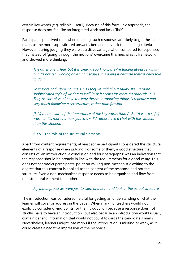certain key words (e.g. reliable, useful). Because of this formulaic approach, the response does not feel like an integrated work and lacks 'flair'.

Participants perceived that, when marking, such responses are likely to get the same marks as the more sophisticated answers, because they tick the marking criteria. However, during judging they were at a disadvantage when compared to responses that instead of 'going through the motions' overcame this mechanistic framework and showed more thinking.

*The other one is fine, but it is clearly, you know, they're talking about reliability but it's not really doing anything because it is doing it because they've been told to do it.* 

*So they've both done Source A3, so they've said about utility. It's... a more sophisticated style of writing as well in A; it seems far more mechanistic in B. They're, sort of you know, the way they're introducing things is repetitive and very much following a set structure, rather than flowing.*

*[B is] more aware of the importance of the key words than A. But A is ... it's, […] warmer. It's more human, you know. I'd rather have a chat with this student than this student.* 

#### 6.3.5. The role of the structural elements

<span id="page-28-0"></span>Apart from content requirements, at least some participants considered the structural elements of a response when judging. For some of them, a good structure that consists of 'an introduction, a conclusion and four paragraphs' was an indication that the response should be broadly in line with the requirements for a good essay. This does not contradict participants' point on valuing non-mechanistic writing to the degree that this concept is applied to the content of the response and not the structure. Even a non-mechanistic response needs to be organised and flow from one structural element to another.

#### *My initial processes were just to skim and scan and look at the actual structure.*

The introduction was considered helpful for getting an understanding of what the learner will cover or address in the paper. When marking, teachers would not explicitly consider giving points for the introduction because a response does not strictly 'have to have an introduction', but also because an introduction would usually contain generic information that would not count towards the candidate's marks. Nevertheless, learners might lose marks if the introduction is missing or weak, as it could create a negative impression of the response.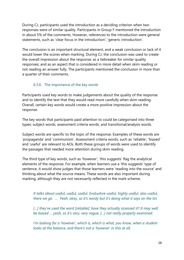During CJ, participants used the introduction as a deciding criterion when two responses were of similar quality. Participants in Group F mentioned the introduction in about 5% of the comments. However, references to the introduction were general statements, such as 'clear focus in the introduction'; 'generic introduction'.

The conclusion is an important structural element, and a weak conclusion or lack of it would lower the scores when marking. During CJ, the conclusion was used to create the overall impression about the response; as a tiebreaker for similar quality responses; and as an aspect that is considered in more detail when skim reading or not reading an answer fully. The participants mentioned the conclusion in more than a quarter of their comments.

#### <span id="page-29-0"></span>6.3.6. The importance of the key words

Participants used key words to make judgements about the quality of the response and to identify the text that they would read more carefully when skim reading. Overall, certain key words would create a more positive impression about the response.

The key words that participants paid attention to could be categorised into three types: subject words, assessment criteria words, and transitional/analysis words.

Subject words are specific to the topic of the response. Examples of these words are 'propaganda' and 'communism'. Assessment criteria words, such as 'reliable', 'biased' and 'useful' are relevant to AOs. Both these groups of words were used to identify the passages that needed more attention during skim reading.

The third type of key words, such as 'however', 'this suggests' flag the analytical elements of the response. For example, when learners use a 'this suggests' type of sentence, it would show judges that those learners were 'reading into the source' and thinking about what the source means. These words are also important during marking, although they are not necessarily reflected in the mark scheme.

*It talks about useful, useful, useful. Evaluative useful, highly useful, also useful, there we go. … Yeah, okay, so it's wordy but it's doing what it says on the tin.* 

[...] they've used the word [reliable]; have they actually assessed it? It may well *be biased … yeah, so it's very, very vague, […] not really properly examined.*

*I'm looking for a 'however', which is, which is what, you know, when a student looks at the balance, and there's not a 'however' in this at all.*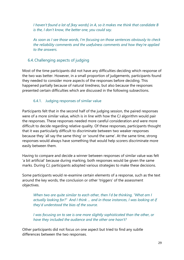*I haven't found a lot of [key words] in A, so it makes me think that candidate B is the, I don't know, the better one, you could say.*

*As soon as I see those words, I'm focusing on those sentences obviously to check the reliability comments and the usefulness comments and how they're applied to the answers.* 

# <span id="page-30-0"></span>6.4.Challenging aspects of judging

Most of the time participants did not have any difficulties deciding which response of the two was better. However, in a small proportion of judgements, participants found they needed to consider more aspects of the responses before deciding. This happened partially because of natural tiredness, but also because the responses presented certain difficulties which are discussed in the following subsections.

# <span id="page-30-1"></span>6.4.1. Judging responses of similar value

Participants felt that in the second half of the judging session, the paired responses were of a more similar value, which is in line with how the CJ algorithm would pair the responses. These responses needed more careful consideration and were more difficult to decide regarding relative quality. Of these responses, participants thought that it was particularly difficult to discriminate between two weaker responses because they 'all say the same thing' or 'sound the same'. At the same time, strong responses would always have something that would help scorers discriminate more easily between them.

Having to compare and decide a winner between responses of similar value was felt 'a bit artificial' because during marking, both responses would be given the same marks. During CJ, participants adopted various strategies to make these decisions.

Some participants would re-examine certain elements of a response, such as the text around the key words, the conclusion or other 'triggers' of the assessment objectives.

*When two are quite similar to each other, then I'd be thinking, "What am I actually looking for?" And I think ... and in those instances, I was looking at if they'd understood the bias of the source.* 

*I was focusing on to see is one more slightly sophisticated than the other, or have they included the audience and the other one hasn't?* 

Other participants did not focus on one aspect but tried to find any subtle differences between the two responses.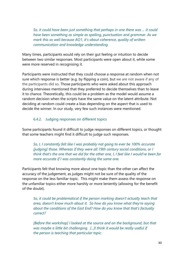*So, it could have been just something that perhaps in one there was ... it could have been something as simple as spelling, punctuation and grammar. As we mark this as well because AO1, it's about coherence, quality of written communication and knowledge understanding.*

Many times, participants would rely on their gut feeling or intuition to decide between two similar responses. Most participants were open about it, while some were more reserved in recognising it.

Participants were instructed that they could choose a response at random when not sure which response is better (e.g. by flipping a coin), but we are not aware if any of the participants did so. Those participants who were asked about this approach during interviews mentioned that they preferred to decide themselves than to leave it to chance. Theoretically, this could be a problem as the model would assume a random decision when the scripts have the same value on the latent attribute. Not deciding at random could create a bias depending on the aspect that is used to decide the winner. In our study, very few such instances were mentioned.

#### <span id="page-31-0"></span>6.4.2. Judging responses on different topics

Some participants found it difficult to judge responses on different topics, or thought that some teachers might find it difficult to judge such responses.

*So, I, I constantly felt like I was probably not going to ever be 100% accurate [judging] those. Whereas if they were all 19th century social conditions, or I think that's the one that we did for the other one, I, I feel like I would've been far more accurate if I was constantly doing the same one.*

Participants felt that knowing more about one topic than the other can affect the accuracy of the judgement, as judges might not be sure of the quality of the response on the less familiar topic. This might make them assess the response on the unfamiliar topics either more harshly or more leniently (allowing for the benefit of the doubt).

*So, it could be problematical if the person marking doesn't actually teach that area, doesn't know much about it. So how do you know what they're saying about the conditions of the East End? How do you know that that's factually correct?*

*[Before the workshop] I looked at the source and on the background, but that was maybe a little bit challenging. [...]I think it would be really useful if the person is teaching that particular topic.*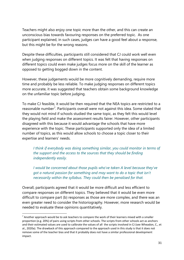Teachers might also enjoy one topic more than the other, and this can create an unconscious bias towards favouring responses on the preferred topic. As one participant explained, in such cases, judges can have a good feel about a response, but this might be for the wrong reasons.

Despite these difficulties, participants still considered that CJ could work well even when judging responses on different topics. It was felt that having responses on different topics could even make judges focus more on the skill of the learner as opposed to getting bogged down in the content.

However, these judgements would be more cognitively demanding, require more time and probably be less reliable. To make judging responses on different topics more accurate, it was suggested that teachers obtain some background knowledge on the unfamiliar topic before judging.

To make CJ feasible, it would be then required that the NEA topics are restricted to a reasonable number<sup>[7](#page-32-0)</sup>. Participants overall were not against this idea. Some stated that they would not mind if schools studied the same topic, as they felt this would level the playing field and make the assessment results fairer. However, other participants disagreed with this because it would advantage the schools that have more experience with the topic. These participants supported only the idea of a limited number of topics, as this would allow schools to choose a topic closer to their expertise and learners' needs.

*I think if everybody was doing something similar, you could monitor in terms of the support and the access to the sources that they should be finding independently easily.*

*I would be concerned about those pupils who've taken A level because they've got a natural passion for something and may want to do a topic that isn't necessarily within the syllabus. They could then be penalised for that.* 

Overall, participants agreed that it would be more difficult and less efficient to compare responses on different topics. They believed that it would be even more difficult to compare part (b) responses as those are more complex, and there was an even greater need to consider the historiography. However, more research would be needed to evaluate these opinions quantitatively.

<span id="page-32-0"></span> $7$  Another approach would be to ask teachers to compare the work of their learners mixed with a smaller proportion (e.g. 20%) of pairs using scripts from other schools. The scripts from other schools act as anchors and their estimated values are used to calibrate the values of all the scripts involved in CJ (see Wheadon, C., et al., 2020a). The drawback of this approach compared to the approach used in this study is that it does not remove some of the teacher bias and that it probably does not have a similar professional development impact.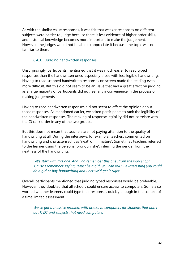As with the similar value responses, it was felt that weaker responses on different subjects were harder to judge because there is less evidence of higher order skills, and historical knowledge becomes more important to make the judgement. However, the judges would not be able to appreciate it because the topic was not familiar to them.

#### <span id="page-33-0"></span>6.4.3. Judging handwritten responses

Unsurprisingly, participants mentioned that it was much easier to read typed responses than the handwritten ones, especially those with less legible handwriting. Having to read scanned handwritten responses on screen made the reading even more difficult. But this did not seem to be an issue that had a great effect on judging, as a large majority of participants did not feel any inconvenience in the process of making judgements.

Having to read handwritten responses did not seem to affect the opinion about those responses. As mentioned earlier, we asked participants to rank the legibility of the handwritten responses. The ranking of response legibility did not correlate with the CJ rank order in any of the two groups.

But this does not mean that teachers are not paying attention to the quality of handwriting at all. During the interviews, for example, teachers commented on handwriting and characterised it as 'neat' or 'immature'. Sometimes teachers referred to the learner using the personal pronoun 'she', inferring the gender from the neatness of the handwriting.

Let's start with this one. And I do remember this one [from the workshop]. *'Cause I remember saying, "Must be a girl, you can tell." Be interesting you could do a girl or boy handwriting and I bet we'd get it right.*

Overall, participants mentioned that judging typed responses would be preferable. However, they doubted that all schools could ensure access to computers. Some also worried whether learners could type their responses quickly enough in the context of a time limited assessment.

*We've got a massive problem with access to computers for students that don't do IT, DT and subjects that need computers.*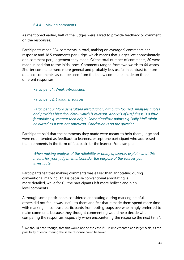#### <span id="page-34-0"></span>6.4.4. Making comments

As mentioned earlier, half of the judges were asked to provide feedback or comment on the responses.

Participants made 204 comments in total, making on average 9 comments per response and 18.5 comments per judge, which means that judges left approximately one comment per judgement they made. Of the total number of comments, 20 were made in addition to the initial ones. Comments ranged from two words to 64 words. Shorter comments were more general and probably less useful in contrast to more detailed comments, as can be seen from the below comments made on three different responses:

Participant 1: *Weak introduction* 

Participant 2: *Evaluates sources* 

Participant 3: *More generalised introduction, although focused. Analyses quotes and provides historical detail which is relevant. Analysis of usefulness is a little formulaic e.g. content then origin. Some simplistic points e.g Daily Mail might be biased as it was not American. Conclusion is on the question.*

Participants said that the comments they made were meant to help them judge and were not intended as feedback to learners, except one participant who addressed their comments in the form of feedback for the learner. For example:

*When making analysis of the reliability or utility of sources explain what this means for your judgements. Consider the purpose of the sources you investigate.*

Participants felt that making comments was easier than annotating during conventional marking. This is because conventional annotating is more detailed, while for CJ, the participants left more holistic and highlevel comments.

Although some participants considered annotating during marking helpful, others did not feel it was useful to them and felt that it made them spend more time with marking. In contrast, participants from both groups overwhelmingly preferred to make comments because they thought commenting would help decide when comparing the responses, especially when encountering the response the next time<sup>[8](#page-34-1)</sup>.

<span id="page-34-1"></span> $8$  We should note, though, that this would not be the case if CJ is implemented at a larger scale, as the possibility of encountering the same response could be lower.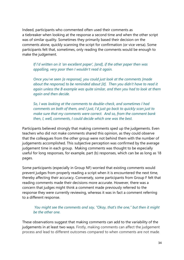Indeed, participants who commented often used their comments as a tiebreaker when looking at the response a second time and when the other script was of similar quality. Sometimes they primarily based their decision on the comments alone, quickly scanning the script for confirmation (or vice versa). Some participants felt that, sometimes, only reading the comments would be enough to make the judgement.

*If I'd written on it 'an excellent paper', [and], if the other paper then was appalling, very poor then I wouldn't read it again.* 

*Once you've seen [a response], you could just look at the comments [made about the response] to be reminded about [it]. Then you didn't have to read it again unless the B example was quite similar, and then you had to look at them again and then decide.* 

*So, I was looking at the comments to double-check, and sometimes I had comments on both of them, and I just, I'd just go back to quickly scan just to make sure that my comments were correct. And so, from the comment bank then, I, well, comments, I could decide which one was the best.* 

Participants believed strongly that making comments sped up the judgements. Even teachers who did not make comments shared this opinion, as they could observe that the colleagues from the other group were not behind them with the number of judgements accomplished. This subjective perception was confirmed by the average judgement time in each group. Making comments was thought to be especially useful for long responses, for example, part (b) responses, which can be as long as 18 pages.

Some participants (especially in Group NF) worried that existing comments would prevent judges from properly reading a script when it is encountered the next time, thereby affecting their accuracy. Conversely, some participants from Group F felt that reading comments made their decisions more accurate. However, there was a concern that judges might think a comment made previously referred to the response they were currently reviewing, whereas it was in fact a comment referring to a different response.

#### *You might see the comments and say, "Okay, that's the one," but then it might be the other one.*

These observations suggest that making comments can add to the variability of the judgements in at least two ways. Firstly, making comments can affect the judgement process and lead to different outcomes compared to when comments are not made.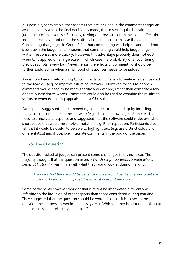It is possible, for example, that aspects that are included in the comments trigger an availability bias when the final decision is made, thus distorting the holistic judgement of the exercise. Secondly, relying on previous comments could affect the independence assumption of the statistical model used to analyse the data. Considering that judges in Group F felt that commenting was helpful, and it did not slow down the judgements, it seems that commenting could help judge longer written responses more quickly. However, this advantage probably does not exist when CJ is applied on a large scale, in which case the probability of encountering previous scripts is very low. Nevertheless, the effects of commenting should be further explored for when a small pool of responses needs to be judged.

Aside from being useful during CJ, comments could have a formative value if passed to the teacher, (e.g. to improve future coursework). However, for this to happen, comments would need to be more specific and detailed, rather than comprise a few generally descriptive words. Comments could also be used to examine the misfitting scripts or when examining appeals against CJ results.

Participants suggested that commenting could be further sped up by including ready-to-use comments in the software (e.g. 'detailed knowledge'). Some felt the need to annotate a response and suggested that the software could make available short codes that would resemble annotation, e.g. R for repetition. Participants also felt that it would be useful to be able to highlight text (e.g. use distinct colours for different AOs) and if possible, integrate comments in the body of the paper.

# <span id="page-36-0"></span>6.5. The CJ question

The question asked of judges can present some challenges if it is not clear. The majority thought that the question asked - *Which script represents a pupil who is better at History?* - was in line with what they would look at during marking.

#### *The one who I think would be better at history would be the one who'd get the most marks for reliability, usefulness. So, it does ... it did work.*

Some participants however thought that it might be interpreted differently as referring to the inclusion of other aspects than those considered during marking. They suggested that the question should be worded so that it is closer to the question the learners answer in their essays, e.g. 'Which learner is better at looking at the usefulness and reliability of sources?'.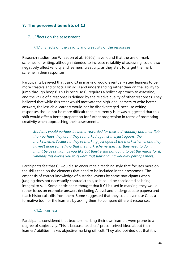# <span id="page-37-0"></span>**7. The perceived benefits of CJ**

#### <span id="page-37-1"></span>7.1. Effects on the assessment

#### 7.1.1. Effects on the validity and creativity of the responses

<span id="page-37-2"></span>Research studies (see Wheadon et al., 2020a) have found that the use of mark schemes for writing, although intended to increase reliability of assessing, could also negatively affect validity and learners' creativity, as they start to target the mark scheme in their responses.

Participants believed that using CJ in marking would eventually steer learners to be more creative and to focus on skills and understanding rather than on the 'ability to jump through hoops'. This is because CJ requires a holistic approach to assessing, and the value of a response is defined by the relative quality of other responses. They believed that while this steer would motivate the high-end learners to write better answers, the less able learners would not be disadvantaged, because writing responses should not be more difficult than it currently is. It was suggested that this shift would offer a better preparation for further progression in terms of promoting creativity when approaching their assessments.

*Students would perhaps be better rewarded for their individuality and their flair than perhaps they are if they're marked against the, just against the mark scheme. Because if they're marking just against the mark scheme, and they haven't done something that the mark scheme specifies they need to do, it might be as brilliant as you like but they're still not going to get the marks for it, whereas this allows you to reward that flair and individuality perhaps more.*

Participants felt that CJ would also encourage a teaching style that focuses more on the skills than on the elements that need to be included in their responses. The emphasis of correct knowledge of historical events by some participants when judging does not necessarily contradict this, as it could be considered as being integral to skill. Some participants thought that if CJ is used in marking, they would rather focus on exemplar answers (including A level and undergraduate papers) and teach historical skills from them. Some suggested that they could even use CJ as a formative tool for the learners by asking them to compare different responses.

#### 7.1.2. Fairness

<span id="page-37-3"></span>Participants considered that teachers marking their own learners were prone to a degree of subjectivity. This is because teachers' preconceived ideas about their learners' abilities makes objective marking difficult. They also pointed out that it is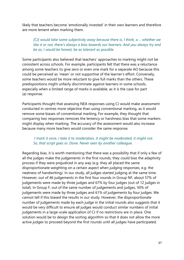likely that teachers become 'emotionally invested' in their own learners and therefore are more lenient when marking them.

*[CJ] would take some subjectivity away because there is, I think, a ... whether we like it or not, there's always a bias towards our learners. And you always try and be as, I would be honest, be as tolerant as possible.* 

Some participants also believed that teachers' approaches to marking might not be consistent across schools. For example, participants felt that there was a reluctance among some teachers to give zero or even one mark for a separate AO because this could be perceived as 'mean' or not supportive of the learner's effort. Conversely, some teachers would be more reluctant to give full marks than the others. These predispositions might unfairly discriminate against learners in some schools, especially when a limited range of marks is available, as it is the case for part (a) response.

Participants thought that assessing NEA responses using CJ would make assessment conducted in centres more objective than using conventional marking, as it would remove some biases of conventional marking. For example, they thought that comparing two responses removes the leniency or harshness bias that some markers might display when marking. The accuracy of the assessment would also increase because many more teachers would consider the same response.

#### *I mark it once, I take it to moderation, it might be moderated, it might not. So, that script goes in. Done. Never seen by another colleague.*

Regarding bias, it is worth mentioning that there was a possibility that if only a few of all the judges make the judgements in the first rounds, they could bias the adaptivity process if they were prejudiced in any way (e.g. they all placed the same disproportionate weighting on a certain aspect when judging responses, e.g. the neatness of handwriting). In our study, all judges started judging at the same time. However, out of 46 judgements in the first four rounds in Group NF, about 57% of judgements were made by three judges and 67% by four judges (out of 12 judges in total). In Group F, out of the same number of judgements and judges, 50% of judgements were made by three judges and 61% of judgements by four judges. We cannot tell if this biased the results in our study. However, the disproportionate number of judgements made by each judge in the initial rounds also suggests that it would be very difficult to ensure all judges would conduct similar numbers of initial judgements in a large-scale application of CJ if no restrictions are in place. One solution would be to design the sorting algorithm so that it does not allow the more active judges to proceed beyond the first rounds until all judges have participated.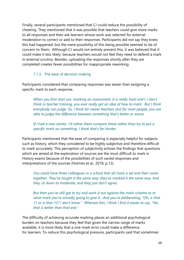Finally, several participants mentioned that CJ could reduce the possibility of cheating. They mentioned that it was possible that teachers could give more marks to all responses and then ask learners whose work was selected for external moderation to correct or add to their responses. Participants did not say they knew this had happened, but the mere possibility of this being possible seemed to be of concern to them. Although CJ would not entirely prevent this, it was believed that it could make it less likely, because teachers would not feel they need to defend a mark in external scrutiny. Besides, uploading the responses shortly after they are completed creates fewer possibilities for inappropriate reworking.

#### 7.1.3. The ease of decision making

<span id="page-39-0"></span>Participants considered that comparing responses was easier than assigning a specific mark to each response.

*When you first start out, marking an assessment, it is really hard and I, I don't think in teacher training, you ever really get an idea of how to mark. But I think everybody can judge. So, I think for newer teachers and for most people, you are able to judge the difference between something that's better or worse.* 

*If I had a new starter, I'd rather them compare these rather than try to put a specific mark on something. I think that's far harder.*

Participants mentioned that the ease of comparing is especially helpful for subjects such as history, which they considered to be highly subjective and therefore difficult to mark accurately. This perception of subjectivity echoes the findings that questions which are aimed at the exploration of sources are the most difficult to mark in History exams because of the possibilities of such varied responses and interpretations of the sources (Holmes et al., 2018, p.12).

*You could have three colleagues in a school that all mark a set and then come together. They've taught it the same way; they've marked it the same way. And they sit down to moderate, and they just don't agree.* 

*But then you've still got to try and work it out against the mark scheme as to what mark you're actually going to give it. And you're deliberating, "Oh, is that 11 or is that 12? I don't know." Whereas this, I think I find it easier to say, "No, that is better than that one."* 

The difficulty of achieving accurate marking places an additional psychological burden on teachers because they feel that given the narrow range of marks available, it is more likely that a one-mark error could make a difference for learners. To reduce this psychological pressure, participants said that sometimes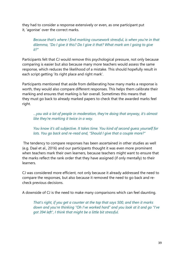they had to consider a response extensively or even, as one participant put it, 'agonise' over the correct marks.

*Because that's where I find marking coursework stressful, is when you're in that dilemma, "Do I give it this? Do I give it that? What mark am I going to give it?"* 

Participants felt that CJ would remove this psychological pressure, not only because comparing is easier but also because many more teachers would assess the same response, which reduces the likelihood of a mistake. This should hopefully result in each script getting 'its right place and right mark'.

Participants mentioned that aside from deliberating how many marks a response is worth, they would also compare different responses. This helps them calibrate their marking and ensures that marking is fair overall. Sometimes this means that they must go back to already marked papers to check that the awarded marks feel right.

*…you ask a lot of people in moderation, they're doing that anyway, it's almost like they're marking it twice in a way.* 

*You know it's all subjective. It takes time. You kind of second guess yourself for lots. You go back and re-read and, "Should I give that a couple more?"* 

The tendency to compare responses has been ascertained in other studies as well (e.g. Daal et al., 2016) and our participants thought it was even more prominent when teachers mark their own learners, because teachers might want to ensure that the marks reflect the rank order that they have assigned (if only mentally) to their learners.

CJ was considered more efficient, not only because it already addressed the need to compare the responses, but also because it removed the need to go back and recheck previous decisions.

A downside of CJ is the need to make many comparisons which can feel daunting.

*That's right, if you get a counter at the top that says 500, and then it marks down and you're thinking "Oh I've worked hard" and you look at it and go "I've got 394 left", I think that might be a little bit stressful.*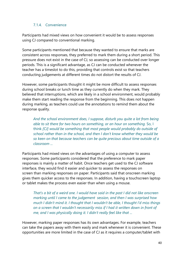#### <span id="page-41-0"></span>7.1.4. Convenience

Participants had mixed views on how convenient it would be to assess responses using CJ compared to conventional marking.

Some participants mentioned that because they wanted to ensure that marks are consistent across responses, they preferred to mark them during a short period. This pressure does not exist in the case of CJ, so assessing can be conducted over longer periods. This is a significant advantage, as CJ can be conducted whenever the teacher has a timeslot to do this, providing that controls exist so that teachers conducting judgements at different times do not distort the results of CJ.

However, some participants thought it might be more difficult to assess responses during school breaks or lunch time as they currently do when they mark. They believed that interruptions, which are likely in a school environment, would probably make them start reading the response from the beginning. This does not happen during marking, as teachers could use the annotations to remind them about the response quality.

*And the school environment does, I suppose, disturb you quite a lot from being able to sit there for two hours on something, or an hour on something.* So, I think *[CJ] would be something that most people would probably do outside of school rather than in the school, and then I don't know whether they would be so keen on that because teachers can be quite precious about time outside of a classroom ...* 

Participants had mixed views on the advantages of using a computer to assess responses. Some participants considered that the preference to mark paper responses is mainly a matter of habit. Once teachers get used to the CJ software interface, they would find it easier and quicker to assess the responses on screen than marking responses on paper. Participants said that onscreen marking gives them quicker access to the responses. In addition, having a touchscreen laptop or tablet makes the process even easier than when using a mouse.

*That's a bit of a weird one. I would have said in the past I did not like onscreen marking until I came to the judgement session, and then I was surprised how much I didn't mind it. I thought that I wouldn't be able, I thought I'd miss things on a screen that I wouldn't necessarily miss if I had it written down in front of me, and I was physically doing it. I didn't really feel like that ...*

However, marking paper responses has its own advantages. For example, teachers can take the papers away with them easily and mark whenever it is convenient. These opportunities are more limited in the case of CJ as it requires a computer/tablet with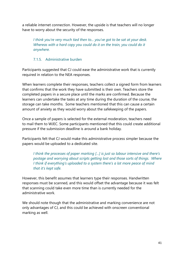a reliable internet connection. However, the upside is that teachers will no longer have to worry about the security of the responses.

*I think you're very much tied then to... you've got to be sat at your desk. Whereas with a hard copy you could do it on the train, you could do it anywhere.*

#### <span id="page-42-0"></span>7.1.5. Administrative burden

Participants suggested that CJ could ease the administrative work that is currently required in relation to the NEA responses.

When learners complete their responses, teachers collect a signed form from learners that confirms that the work they have submitted is their own. Teachers store the completed papers in a secure place until the marks are confirmed. Because the learners can undertake the tasks at any time during the duration of the course, the storage can take months. Some teachers mentioned that this can cause a certain amount of anxiety as they would worry about the safekeeping of the papers.

Once a sample of papers is selected for the external moderation, teachers need to mail them to WJEC. Some participants mentioned that this could create additional pressure if the submission deadline is around a bank holiday.

Participants felt that CJ would make this administrative process simpler because the papers would be uploaded to a dedicated site.

*I think the processes of paper marking […] is just so labour intensive and there's postage and worrying about scripts getting lost and those sorts of things. Where I think if everything's uploaded to a system there's a lot more peace of mind that it's kept safe.* 

However, this benefit assumes that learners type their responses. Handwritten responses must be scanned, and this would offset the advantage because it was felt that scanning could take even more time than is currently needed for the administrative work.

We should note though that the administrative and marking convenience are not only advantages of CJ, and this could be achieved with onscreen conventional marking as well.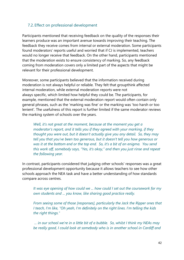# <span id="page-43-0"></span>7.2. Effect on professional development

Participants mentioned that receiving feedback on the quality of the responses their learners produce was an important avenue towards improving their teaching. The feedback they receive comes from internal or external moderation. Some participants found moderators' reports useful and worried that if CJ is implemented, teachers would no longer receive that feedback. On the other hand, participants mentioned that the moderation exists to ensure consistency of marking. So, any feedback coming from moderation covers only a limited part of the aspects that might be relevant for their professional development.

Moreover, some participants believed that the information received during moderation is not always helpful or reliable. They felt that groupthink affected internal moderation, while external moderation reports were not always specific, which limited how helpful they could be. The participants, for example, mentioned that the external moderation report would often contain only general phrases, such as the 'marking was fine' or the marking was 'too harsh or too lenient'. The usefulness of this report is further limited if the same moderator reviews the marking system of schools over the years.

*Well, it's not great at the moment, because at the moment you get a moderator's report, and it tells you if they agreed with your marking, if they thought you were out, but it doesn't actually give you any detail. So, they may tell you that you've been too generous, but it doesn't tell you how generous or was it at the bottom end or the top end. So, it's a bit of an enigma. You send this work off, somebody says, "Yes, it's okay," and then you just rinse and repeat the following year.*

In contrast, participants considered that judging other schools' responses was a great professional development opportunity because it allows teachers to see how other schools approach the NEA task and have a better understanding of how standards compare across centres.

*It was eye opening of how could we ... how could I set out the coursework for my own students and ... you know, like sharing good practice really.* 

*From seeing some of those [responses], particularly the Jack the Ripper ones that I teach, I'm like, "Oh yeah, I'm definitely on the right lines. I'm telling the kids the right things."* 

*... in our school we're in a little bit of a bubble. So, whilst I think my NEAs may be really good, I could look at somebody who is in another school in Cardiff and*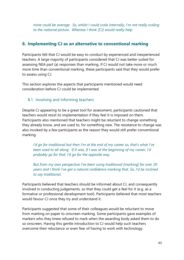*mine could be average. So, whilst I could scale internally, I'm not really scaling to the national picture. Whereas I think [CJ] would really help.*

# <span id="page-44-0"></span>**8. Implementing CJ as an alternative to conventional marking**

Participants felt that CJ would be easy to conduct by experienced and inexperienced teachers. A large majority of participants considered that CJ was better suited for assessing NEA part (a) responses than marking. If CJ would not take more or much more time than conventional marking, these participants said that they would prefer to assess using CJ.

This section explores the aspects that participants mentioned would need consideration before CJ could be implemented.

# <span id="page-44-1"></span>8.1. Involving and informing teachers

Despite CJ appearing to be a great tool for assessment, participants cautioned that teachers would resist its implementation if they feel it is imposed on them. Participants also mentioned that teachers might be reluctant to change something they already know, and are used to, for something new. The resistance to change was also invoked by a few participants as the reason they would still prefer conventional marking.

*I'd go for traditional but then I'm at the end of my career so, that's what I've been used to all along. If it was, if I was at the beginning of my career, I'd probably go for that. I'd go for the opposite way.*

*But from my own perspective I've been using traditional [marking] for over 20 years and I think I've got a natural confidence marking that. So, I'd be inclined to say traditional.*

Participants believed that teachers should be informed about CJ, and consequently involved in conducting judgements, so that they could get a feel for it (e.g. as a formative or professional development tool). Participants believed that most teachers would favour CJ once they try and understand it.

Participants suggested that some of their colleagues would be reluctant to move from marking on paper to onscreen marking. Some participants gave examples of markers who they knew refused to mark when the awarding body asked them to do so onscreen. Having this gentle introduction to CJ would help such teachers overcome their reluctance or even fear of having to work with technology.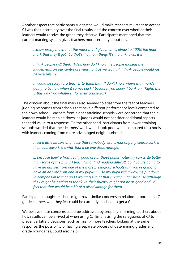Another aspect that participants suggested would make teachers reluctant to accept CJ was the uncertainty over the final results, and the concern over whether their learners would receive the grade they deserve. Participants mentioned that the current marking system gives teachers more certainty about this.

*I know pretty much that the mark that I give them is almost a 100% the final mark that they'll get. So that's the main thing. It's the unknown, it is.*

*I think people will think, "Well, how do I know the people making the judgements on our centre are viewing it as we would?" I think people would just be very unsure.*

*It would be scary as a teacher to think that, "I don't know where that mark's going to be now when it comes back," because, you know, I bank on, "Right, this is this way," do whatever, for their coursework.* 

The concern about the final marks also seemed to arise from the fear of teachers judging responses from schools that have different performance levels compared to their own school. Teachers from higher attaining schools were concerned that their learners would be marked down, as judges would not consider additional aspects that add value to a response. On the other hand, participants from lower attaining schools worried that their learners' work would look poor when compared to schools with learners coming from more advantaged neighbourhoods.

*I feel a little bit sort of uneasy that somebody else is marking my coursework, if their coursework is awful; that'll be one disadvantage.* 

*… because they're from really good areas, those pupils naturally can write better than some of the pupils I teach [who] find reading difficult. So if you're going to have an answer from one of the more prestigious schools and you're going to have an answer from one of my pupils […] so my pupil will always be put down in comparison to that and I would feel that that's really unfair because although they might be getting to the skills, their fluency might not be as good and I'd feel that that would be a bit of a disadvantage for them.*

Participants thought teachers might have similar concerns in relation to borderline C grade learners who they felt could be currently 'pushed' to get a C.

We believe these concerns could be addressed by properly informing teachers about how results can be arrived at when using CJ. Emphasising the safeguards of CJ to prevent arbitrary decisions (such as misfit), more teachers looking at the same response, the possibility of having a separate process of determining grades and grade boundaries, could also help.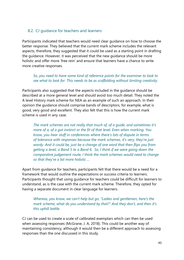# <span id="page-46-0"></span>8.2. CJ guidance for teachers and learners

Participants indicated that teachers would need clear guidance on how to choose the better response. They believed that the current mark scheme includes the relevant aspects, therefore, they suggested that it could be used as a starting point in drafting the guidance. However, it was perceived that the new guidance should be more holistic and offer more 'free rein' and ensure that learners have a chance to write more creative responses.

#### *So, you need to have some kind of reference points for the examiner to look to see what to look for. This needs to be as scaffolding without limiting creativity.*

Participants also suggested that the aspects included in the guidance should be described at a more general level and should avoid too much detail. They noted the A level History mark scheme for NEA as an example of such an approach. In their opinion the guidance should comprise bands of descriptors, for example, what is good, very good and excellent. They also felt that this is how the current mark scheme is used in any case.

*The mark schemes are not really that much of, of a guide, and sometimes it's more of a, of a gut instinct or the fit of that level. Even when marking. You know, you hear stuff in conferences where there's lots of dispute in terms of tolerance with responses because the mark schemes, it's very, they're just wordy. And it could be, just be a change of one word that then flips you from getting a level, a Band 5 to a Band 6. So, I think if we were going down the comparative judgement route, I think the mark schemes would need to change so that they're a bit more holistic ...*

Apart from guidance for teachers, participants felt that there would be a need for a framework that would outline the expectations or success criteria to learners. Participants thought that using guidance for teachers could be difficult for learners to understand, as is the case with the current mark scheme. Therefore, they opted for having a separate document in clear language for learners.

*Whereas, you know, we can't help but go, "Ladies and gentlemen, here's the mark scheme, what do you understand by that?" And they don't, and then it's this uphill battle.*

CJ can be used to create a scale of calibrated exemplars which can then be used when assessing responses (McGrane, J. A, 2018). This could be another way of maintaining consistency, although it would then be a different approach to assessing responses than the one discussed in this study.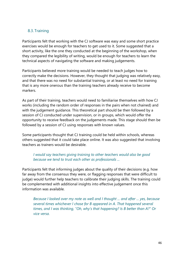# <span id="page-47-0"></span>8.3. Training

Participants felt that working with the CJ software was easy and some short practice exercises would be enough for teachers to get used to it. Some suggested that a short activity, like the one they conducted at the beginning of the workshop, when they compared the legibility of writing, would be enough for teachers to learn the technical aspects of navigating the software and making judgements.

Participants believed more training would be needed to teach judges how to correctly make the decisions. However, they thought that judging was relatively easy, and that there was no need for substantial training, or at least no need for training that is any more onerous than the training teachers already receive to become markers.

As part of their training, teachers would need to familiarise themselves with how CJ works (including the random order of responses in the pairs when not chained) and with the judgement guidance. This theoretical part should be then followed by a session of CJ conducted under supervision, or in groups, which would offer the opportunity to receive feedback on the judgements made. This stage should then be followed by a session of CJ using responses with known values.

Some participants thought that CJ training could be held within schools, whereas others suggested that it could take place online. It was also suggested that involving teachers as trainers would be desirable.

#### *I would say teachers giving training to other teachers would also be good because we tend to trust each other as professionals ...*

Participants felt that informing judges about the quality of their decisions (e.g. how far away from the consensus they were, or flagging responses that were difficult to judge) would further help teachers to calibrate their judging skills. The training could be complemented with additional insights into effective judgement once this information was available.

*Because I looked over my note as well and I thought ... and after ... yes, because several times whichever I chose for B appeared in A. That happened several times, and I was thinking, "Oh, why's that happening? Is B better than A?" Or vice versa.*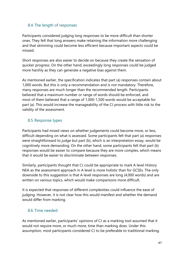# <span id="page-48-0"></span>8.4. The length of responses

Participants considered judging long responses to be more difficult than shorter ones. They felt that long answers make retaining the information more challenging and that skimming could become less efficient because important aspects could be missed.

Short responses are also easier to decide on because they create the sensation of quicker progress. On the other hand, exceedingly long responses could be judged more harshly as they can generate a negative bias against them.

As mentioned earlier, the specification indicates that part (a) responses contain about 1,000 words. But this is only a recommendation and is not mandatory. Therefore, many responses are much longer than the recommended length. Participants believed that a maximum number or range of words should be enforced, and most of them believed that a range of 1,000-1,500 words would be acceptable for part (a). This would increase the manageability of the CJ process with little risk to the validity of the assessment.

# <span id="page-48-1"></span>8.5. Response types

Participants had mixed views on whether judgements could become more, or less, difficult depending on what is assessed. Some participants felt that part (a) responses were straightforward to judge but part (b), which is an interpretation essay, would be cognitively more demanding. On the other hand, some participants felt that part (b) responses would be easier to compare because they are more complex, which means that it would be easier to discriminate between responses.

Similarly, participants thought that CJ could be appropriate to mark A level History NEA as the assessment approach in A level is more holistic than for GCSEs. The only downside to this suggestion is that A level responses are long (4,000 words) and are written on various topics, which would make comparisons more difficult.

It is expected that responses of different complexities could influence the ease of judging. However, it is not clear how this would manifest and whether the demand would differ from marking.

# <span id="page-48-2"></span>8.6. Time needed

As mentioned earlier, participants' opinions of CJ as a marking tool assumed that it would not require more, or much more, time than marking does. Under this assumption, most participants considered CJ to be preferable to traditional marking.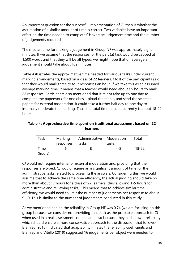An important question for the successful implementation of CJ then is whether the assumption of a similar amount of time is correct. Two variables have an important effect on the time needed to complete CJ: average judgement time and the number of judgements required.

The median time for making a judgement in Group NF was approximately eight minutes. If we assume that the responses for the part (a) task would be capped at 1,500 words and that they will be all typed, we might hope that on average a judgement should take about five minutes.

Table 4 illustrates the approximative time needed for various tasks under current marking arrangements, based on a class of 22 learners. Most of the participants said that they would mark three to four responses an hour. If we take this as an assumed average marking time, it means that a teacher would need about six hours to mark 22 responses. Participants also mentioned that it might take up to one day to complete the paperwork for one class, upload the marks, and send the selected papers for external moderation. It could take a further half day to one day to internally moderate the marking. Thus, the total time needed currently is about 18-22 hours.

#### **Table 4: Approximative time spent on traditional assessment based on 22 learners**

| Task    | Marking   | Administrative   Moderation |       | Total     |
|---------|-----------|-----------------------------|-------|-----------|
|         | responses | tasks                       | tasks |           |
| Time    |           |                             | 4-8   | $18 - 22$ |
| (hours) |           |                             |       |           |

CJ would not require internal or external moderation and, providing that the responses are typed, CJ would require an insignificant amount of time for the administrative tasks related to processing the answers. Considering this, we would assume that to achieve the same time efficiency, the actual judging should take no more than about 17 hours for a class of 22 learners (thus allowing 1-5 hours for administrative and reviewing tasks). This means that to achieve similar time efficiency, we would need to limit the number of judgements per response to about 9-10. This is similar to the number of judgements conducted in this study.

As we mentioned earlier, the reliability in Group NF was 0.74 (we are focusing on this group because we consider not providing feedback as the probable approach to CJ when used in a real assessment context, and also because they had a lower reliability which should ensure a more conservative approach to the discussion that follows). Bramley (2015) indicated that adaptability inflates the reliability coefficients and Bramley and Vitello (2019) suggested 16 judgements per object were needed to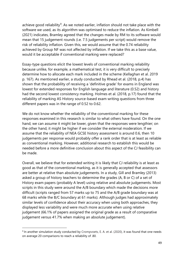achieve good reliability<sup>[9](#page-50-0)</sup>. As we noted earlier, inflation should not take place with the software we used, as its algorithm was optimised to reduce the inflation. As Kimbell (2021) indicates, Bramley agreed that the changes made by RM to its software would mean that 15 judgement rounds (i.e. 7.5 judgements per script) would remove the risk of reliability inflation. Given this, we would assume that the 0.74 reliability achieved by Group NF was not affected by inflation. If we take this as a base value, would it be acceptable if conventional marking were replaced?

Essay-type questions elicit the lowest levels of conventional marking reliability because unlike, for example, a mathematical test, it is very difficult to precisely determine how to allocate each mark included in the scheme (Kellaghan et al. 2019 p. 167). As mentioned earlier, a study conducted by Rhead et al. (2018, p.4) has shown that the probability of receiving a 'definitive grade' for exams in England was lowest for extended responses for English language and literature (0.52) and history had the second lowest consistency marking. Holmes et al. (2018, p.17) found that the reliability of marking AS History source-based exam writing questions from three different papers was in the range of 0.52 to 0.62.

We do not know whether the reliability of the conventional marking for these responses examined in this research is similar to what others have found. On the one hand, we can assume it might be lower, given that the responses were lengthier; on the other hand, it might be higher if we consider the external moderation. If we assume that the reliability of NEA GCSE history assessment is around 0.6, then 10 judgements per response would probably offer a rank order that is at least as reliable as conventional marking. However, additional research to establish this would be needed before a more definitive conclusion about this aspect of the CJ feasibility can be made.

Overall, we believe that for extended writing it is likely that CJ reliability is at least as good as that of the conventional marking, as it is generally accepted that assessors are better at relative than absolute judgements. In a study, Gill and Bramley (2013) asked a group of history teachers to determine the grades (A, B or C) of a set of History exam papers (probably A level) using relative and absolute judgements. Most scripts in this study were around the A/B boundary which made the decisions more difficult (scripts ranged from 57 marks up to 75 and the A/B grade boundary was at 68 marks while the B/C boundary at 61 marks). Although judges had approximately similar levels of confidence about their accuracy when using both approaches, they displayed less variability and were much more accurate when using relative judgement (66.1% of papers assigned the original grade as a result of comparative judgement versus 41.7% when making an absolute judgement).

<span id="page-50-0"></span><sup>&</sup>lt;sup>9</sup> In another simulation study conducted by Crompvoets, E. A. et al. (2020), it was found that one needs on average 20 comparisons to reach a reliability of .80.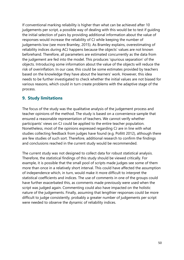If conventional marking reliability is higher than what can be achieved after 10 judgements per script, a possible way of dealing with this would be to test if guiding the initial selection of pairs by providing additional information about the value of responses would increase the reliability of CJ while keeping the number of judgements low (see more Bramley, 2015). As Bramley explains, overestimating of reliability indices during ACJ happens because the objects' values are not known beforehand. Therefore, all parameters are estimated concurrently as the data from the judgement are fed into the model. This produces 'spurious separation' of the objects. Introducing some information about the value of the objects will reduce the risk of overinflation. In our case, this could be some estimates provided by teachers based on the knowledge they have about the learners' work. However, this idea needs to be further investigated to check whether the initial values are not biased for various reasons, which could in turn create problems with the adaptive stage of the process.

# <span id="page-51-0"></span>**9. Study limitations**

The focus of the study was the qualitative analysis of the judgement process and teacher opinions of the method. The study is based on a convenience sample that ensured a reasonable representation of teachers. We cannot verify whether participants' views on CJ could be applied to the entire teacher population. Nonetheless, most of the opinions expressed regarding CJ are in line with what studies collecting feedback from judges have found (e.g. Pollitt 2012), although there are few studies of such sort. Therefore, additional research to confirm the findings and conclusions reached in the current study would be recommended.

The current study was not designed to collect data for robust statistical analysis. Therefore, the statistical findings of this study should be viewed critically. For example, it is possible that the small pool of scripts made judges see some of them more than once in a relatively short interval. This could have affected the assumption of independence which, in turn, would make it more difficult to interpret the statistical coefficients and indices. The use of comments in one of the groups could have further exacerbated this, as comments made previously were used when the script was judged again. Commenting could also have impacted on the holistic nature of the judgements. Finally, assuming that lengthier responses could be more difficult to judge consistently, probably a greater number of judgements per script were needed to observe the dynamic of reliability indices.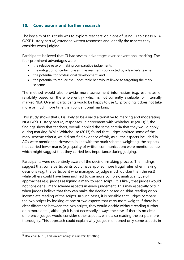# <span id="page-52-0"></span>**10. Conclusions and further research**

The key aim of this study was to explore teachers' opinions of using CJ to assess NEA GCSE History part (a) extended written responses and identify the aspects they consider when judging.

Participants believed that CJ had several advantages over conventional marking. The four prominent advantages were:

- the relative ease of making comparative judgements;
- the mitigation of certain biases in assessments conducted by a learner's teacher;
- the potential for professional development; and
- the potential to reduce the undesirable behaviours linked to targeting the mark scheme.

The method would also provide more assessment information (e.g. estimates of reliability based on the whole entry), which is not currently available for internally marked NEA. Overall, participants would be happy to use CJ, providing it does not take more or much more time than conventional marking.

This study shows that CJ is likely to be a valid alternative to marking and moderating NEA GCSE History part (a) responses. In agreement with Whitehouse  $(2013)^{10}$  $(2013)^{10}$  $(2013)^{10}$ , the findings show that teachers, overall, applied the same criteria that they would apply during marking. While Whitehouse (2013) found that judges omitted some of the mark scheme criteria, we did not find evidence of this, as all the aspects included in AOs were mentioned. However, in line with the mark scheme weighting, the aspects that carried fewer marks (e.g. quality of written communication) were mentioned less, which might suggest that they carried less importance during judging.

Participants were not entirely aware of the decision-making process. The findings suggest that some participants could have applied more frugal rules when making decisions (e.g. the participant who managed to judge much quicker than the rest) while others could have been inclined to use more complex, analytical type of approaches (e.g. judges assigning a mark to each script). It is likely that judges would not consider all mark scheme aspects in every judgement. This may especially occur when judges believe that they can make the decision based on skim-reading or on incomplete reading of the scripts. In such cases, it is possible that judges compare the two scripts by looking at one or two aspects that carry more weight. If there is a clear difference between the two scripts, they would decide without reading further or in more detail, although it is not necessarily always the case. If there is no clear difference, judges would consider other aspects, while also reading the scripts more thoroughly. This approach could explain why judges mentioned only some aspects in

<span id="page-52-1"></span><sup>10</sup> Daal et al. (2016) had similar findings in a university setting.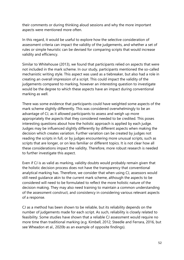their comments or during thinking aloud sessions and why the more important aspects were mentioned more often.

In this regard, it would be useful to explore how the selective consideration of assessment criteria can impact the validity of the judgements, and whether a set of rules or simple heuristic can be devised for comparing scripts that would increase validity and efficiency.

Similar to Whitehouse (2013), we found that participants relied on aspects that were not included in the mark scheme. In our study, participants mentioned the so-called mechanistic writing style. This aspect was used as a tiebreaker, but also had a role in creating an overall impression of a script. This could impact the validity of the judgements compared to marking, however an interesting question to investigate would be the degree to which these aspects have an impact during conventional marking as well.

There was some evidence that participants could have weighted some aspects of the mark scheme slightly differently. This was considered overwhelmingly to be an advantage of CJ, as it allowed participants to assess and weigh up more appropriately the aspects that they considered needed to be credited. This poses interesting questions about how the holistic approach is applied by each judge. Judges may be influenced slightly differently by different aspects when making the decision which creates variation. Further variation can be created by judges not reading the scripts in full, or by judges encountering more unusual scripts, such as scripts that are longer, or on less familiar or different topics. It is not clear how all these considerations impact the validity. Therefore, more robust research is needed to further investigate this aspect.

Even if CJ is as valid as marking, validity doubts would probably remain given that the holistic decision process does not have the transparency that conventional analytical marking has. Therefore, we consider that when using CJ, assessors would still need guidance akin to the current mark scheme, although the aspects to be considered will need to be formulated to reflect the more holistic nature of the decision making. They may also need training to maintain a common understanding of the assessment construct, and consistency in considering various relevant aspects of a response.

CJ as a method has been shown to be reliable, but its reliability depends on the number of judgements made for each script. As such, reliability is closely related to feasibility. Some studies have shown that a reliable CJ assessment would require no more time than traditional marking (e.g. Kimbell, 2012; Steedle and Ferrara, 2016, but see Wheadon et al., 2020b as an example of opposite findings).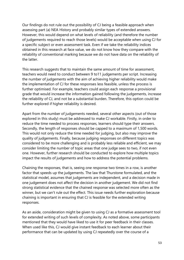Our findings do not rule out the possibility of CJ being a feasible approach when assessing part (a) NEA History and probably similar types of extended answers. However, this would depend on what levels of reliability (and therefore the number of judgements required to reach those levels) would be acceptable when using CJ for a specific subject or even assessment task. Even if we take the reliability indices obtained in this research at face value, we do not know how they compare with the reliability of conventional marking because we do not have data on the reliability of the latter.

This research suggests that to maintain the same amount of time for assessment, teachers would need to conduct between 9 to11 judgements per script. Increasing the number of judgements with the aim of achieving higher reliability would make the implementation of CJ for these responses less feasible, unless the process is further optimised. For example, teachers could assign each response a provisional grade that would increase the information gained following the judgements, increase the reliability of CJ, and not be a substantial burden. Therefore, this option could be further explored if higher reliability is desired.

Apart from the number of judgements needed, several other aspects (out of those explored in this study) must be addressed to make CJ workable. Firstly, in order to reduce the time needed to process responses, learners should type their answers. Secondly, the length of responses should be capped to a maximum of 1,500 words. This would not only reduce the time needed for judging, but also may improve the quality of judgements. Finally, because judging responses on different topics was considered to be more challenging and is probably less reliable and efficient, we may consider limiting the number of topic areas that one judge sees to two, if not even one. However, further research should be conducted to explore how multiple topics impact the results of judgements and how to address the potential problems.

Chaining the responses, that is, seeing one response two times in a row, is another factor that speeds up the judgements. The law that Thurstone formulated, and the statistical model, assumes that judgements are independent, and a decision made in one judgement does not affect the decision in another judgement. We did not find strong statistical evidence that the chained response was selected more often as the winner, but we can't rule out the effect. This issue needs further exploration because chaining is important in ensuring that CJ is feasible for the extended writing responses.

As an aside, consideration might be given to using CJ as a formative assessment tool for extended writing of such levels of complexity. As noted above, some participants mentioned that they would have liked to use it for peer feedback in their classes. When used like this, CJ would give instant feedback to each learner about their performance that can be updated by using CJ repeatedly over the course of a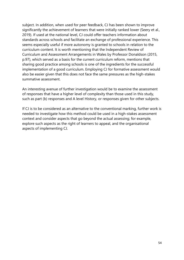subject. In addition, when used for peer feedback, CJ has been shown to improve significantly the achievement of learners that were initially ranked lower (Seery et al., 2019). If used at the national level, CJ could offer teachers information about standards across schools and facilitate an exchange of professional experience. This seems especially useful if more autonomy is granted to schools in relation to the curriculum content. It is worth mentioning that the Independent Review of Curriculum and Assessment Arrangements in Wales by Professor Donaldson (2015, p.97), which served as a basis for the current curriculum reform, mentions that sharing good practice among schools is one of the ingredients for the successful implementation of a good curriculum. Employing CJ for formative assessment would also be easier given that this does not face the same pressures as the high-stakes summative assessment.

An interesting avenue of further investigation would be to examine the assessment of responses that have a higher level of complexity than those used in this study, such as part (b) responses and A level History, or responses given for other subjects.

If CJ is to be considered as an alternative to the conventional marking, further work is needed to investigate how this method could be used in a high-stakes assessment context and consider aspects that go beyond the actual assessing; for example, explore such aspects as the right of learners to appeal, and the organisational aspects of implementing CJ.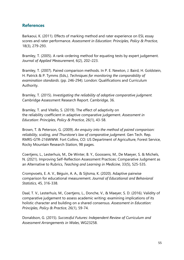# <span id="page-56-0"></span>**References**

Barkaoui, K. (2011). Effects of marking method and rater experience on ESL essay scores and rater performance. *Assessment in Education: Principles, Policy & Practice,* 18(3), 279-293.

Bramley, T. (2005). A rank-ordering method for equating tests by expert judgement. *Journal of Applied Measurement,* 6(2), 202–223.

Bramley, T. (2007). Paired comparison methods. In P. E. Newton, J. Baird, H. Goldstein, H. Patrick & P. Tymms (Eds*.), Techniques for monitoring the comparability of examination standards*. (pp. 246-294). London: Qualifications and Curriculum Authority.

Bramley, T. (2015). *Investigating the reliability of adaptive comparative judgment.* Cambridge Assessment Research Report. Cambridge, 36.

Bramley, T. and Vitello, S. (2019). The effect of adaptivity on the reliability coefficient in adaptive comparative judgement. *Assessment in Education: Principles, Policy & Practice*, 26(1), 43-58.

Brown, T. & Peterson, G. (2009). *An enquiry into the method of paired comparison: reliability, scaling, and Thurstone's law of comparative judgment*. Gen Tech. Rep. RMRS-GTR-216WWW. Fort Collins, CO: US Department of Agriculture, Forest Service, Rocky Mountain Research Station, 98 pages.

Coertjens, L., Lesterhuis, M., De Winter, B. Y., Goossens, M., De Maeyer, S. & Michels, N. (2021). Improving Self-Reflection Assessment Practices: Comparative Judgment as an Alternative to Rubrics, *Teaching and Learning in Medicine*, 33(5), 525-535.

Crompvoets, E. A. V., Béguin, A. A., & Sijtsma, K. (2020). Adaptive pairwise comparison for educational measurement. *Journal of Educational and Behavioral Statistics*, 45, 316-338.

Daal, T. V., Lesterhuis, M., Coertjens, L., Donche, V., & Maeyer, S. D. (2016). Validity of comparative judgement to assess academic writing: examining implications of its holistic character and building on a shared consensus. *Assessment in Education: Principles, Policy & Practice*, 26(1), 59-74.

Donaldson, G. (2015). *Successful Futures: Independent Review of Curriculum and Assessment Arrangements in Wales*, WG23258.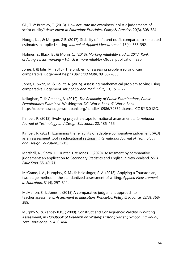Gill, T. & Bramley, T. (2013). How accurate are examiners' holistic judgements of script quality? *Assessment in Education: Principles, Policy & Practice*, 20(3), 308-324.

Hodge, K.J., & Morgan, G.B. (2017). Stability of infit and outfit compared to simulated estimates in applied setting. *Journal of Applied Measurement*, 18(4), 383-392.

Holmes, S., Black, B., & Morin, C., (2018). *Marking reliability studies 2017: Rank ordering versus marking – Which is more reliable?* Ofqual publication. 33p.

Jones, I. & Iglis, M. (2015). The problem of assessing problem solving: can comparative judgement help? *Educ Stud Math*, 89, 337–355.

Jones, I., Swan, M. & Pollitt, A. (2015). Assessing mathematical problem solving using comparative judgement. *Int J of Sci and Math Educ*, 13, 151–177.

Kellaghan, T. & Greaney, V. (2019). *The Reliability of Public Examinations, Public Examinations Examined*. Washington, DC: World Bank. © World Bank. https://openknowledge.worldbank.org/handle/10986/32352 License: CC BY 3.0 IGO.

Kimbell, R. (2012). Evolving project e-scape for national assessment. *International Journal of Technology and Design Education*, 22, 135–155.

Kimbell, R. (2021). Examining the reliability of adaptive comparative judgement (ACJ) as an assessment tool in educational settings. *International Journal of Technology and Design Education*., 1-15.

Marshall, N., Shaw, K., Hunter, J. & Jones, I. (2020). Assessment by comparative judgement: an application to Secondary Statistics and English in New Zealand. *NZ J Educ Stud,* 55, 49–71.

McGrane, J. A., Humphry, S. M., & Heldsinger, S. A. (2018). Applying a Thurstonian, two-stage method in the standardized assessment of writing. *Applied Measurement in Education*, 31(4), 297–311.

McMahon, S. & Jones, I. (2015) A comparative judgement approach to teacher assessment. *Assessment in Education: Principles, Policy & Practice,* 22(3), 368- 389.

Murphy S., & Yancey K.B., ( 2009). Construct and Consequence: Validity in Writing Assessment, in *Handbook of Research on Writing: History, Society, School, Individual, Text*, Routledge, p. 450-464.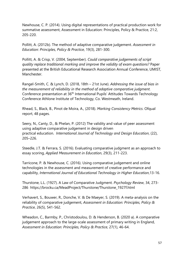Newhouse, C. P. (2014). Using digital representations of practical production work for summative assessment, Assessment in Education: Principles, Policy & Practice, 21:2, 205-220.

Pollitt, A. (2012b). The method of adaptive comparative judgement. *Assessment in Education: Principles, Policy & Practice*, 19(3), 281-300.

Pollitt, A. & Crisp, V. (2004, September). *Could comparative judgements of script quality replace traditional marking and improve the validity of exam questions?* Paper presented at the British Educational Research Association Annual Conference, UMIST, Manchester.

Rangel-Smith, C. & Lynch, D. (2018, 18th – 21st June). *Addressing the issue of bias in the measurement of reliability in the method of adaptive comparative judgment*. Conference presentation at 36th International Pupils' Attitudes Towards Technology Conference Athlone Institute of Technology, Co. Westmeath, Ireland.

Rhead, S., Black, B., Pinot de Moira, A., (2018). *Marking Consistency Metrics*. [Ofqual](https://assets.publishing.service.gov.uk/government/uploads/system/uploads/attachment_data/file/759207/Marking_consistency_metrics_-_an_update_-_FINAL64492.pdf)  [report,](https://assets.publishing.service.gov.uk/government/uploads/system/uploads/attachment_data/file/759207/Marking_consistency_metrics_-_an_update_-_FINAL64492.pdf) 48 pages.

Seery, N., Canty, D., & Phelan, P. (2012) The validity and value of peer assessment using adaptive comparative judgement in design driven practical education. *International Journal of Technology and Design Education*, (22), 205–226.

Steedle, J.T. & Ferrara, S. (2016). Evaluating comparative judgment as an approach to essay scoring, *Applied Measurement in Education*, 29(3), 211-223.

Tarricone, P. & Newhouse, C. (2016). Using comparative judgement and online technologies in the assessment and measurement of creative performance and capability, *International Journal of Educational Technology in Higher Education*,13-16.

Thurstone, L.L. (1927). A Law of Comparative Judgment. *Psychology Review*, 34, 273- 286 [https://brocku.ca/MeadProject/Thurstone/Thurstone\\_1927f.html](https://brocku.ca/MeadProject/Thurstone/Thurstone_1927f.html) 

Verhavert, S., Bouwer, R., Donche, V. & De Maeyer, S. (2019). A meta-analysis on the reliability of comparative judgement, *Assessment in Education: Principles, Policy & Practice*, 26(5), 541-562.

Wheadon, C., Barmby, P., Christodoulou, D. & Henderson, B. (2020 a). A comparative judgement approach to the large-scale assessment of primary writing in England, *Assessment in Education: Principles, Policy & Practice*, 27(1), 46-64.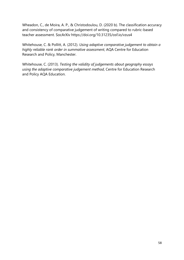Wheadon, C., de Moira, A. P., & Christodoulou, D. (2020 b). The classification accuracy and consistency of comparative judgement of writing compared to rubric-based teacher assessment. SocArXiv https://doi.org/10.31235/osf.io/vzus4

Whitehouse, C. & Pollitt, A. (2012). *Using adaptive comparative judgement to obtain a highly reliable rank order in summative assessment*, AQA Centre for Education Research and Policy, Manchester.

Whitehouse, C. (2013). *Testing the validity of judgements about geography essays using the adaptive comparative judgement method*, Centre for Education Research and Policy AQA Education.